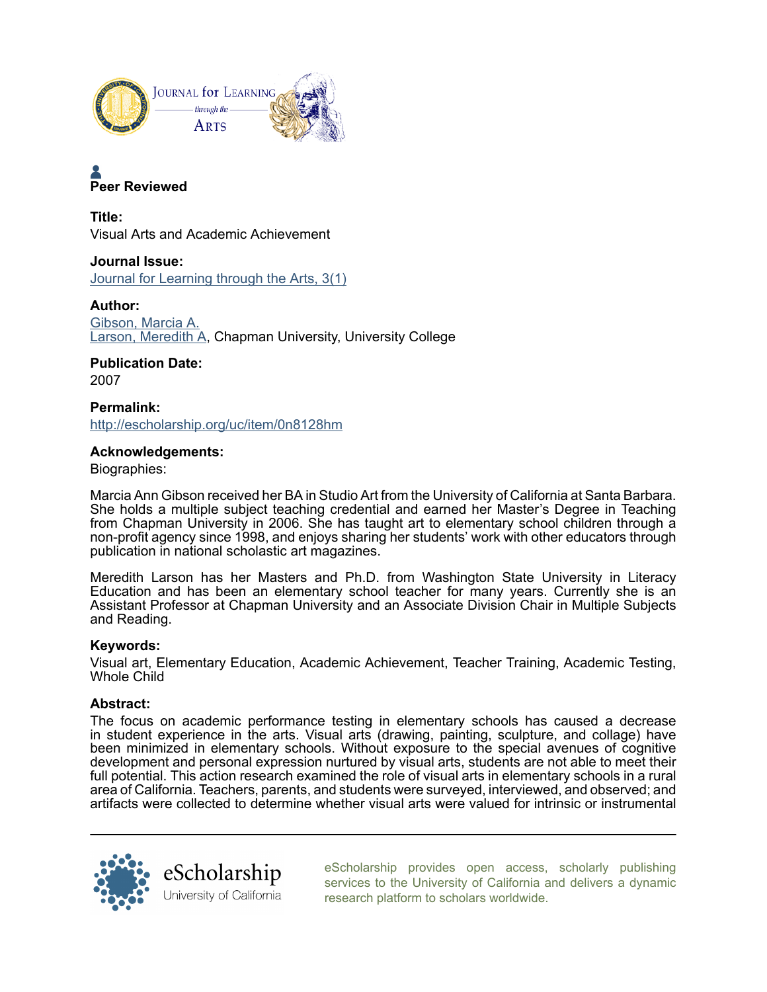

# **Peer Reviewed**

**Title:** Visual Arts and Academic Achievement

**Journal Issue:** [Journal for Learning through the Arts, 3\(1\)](http://escholarship.org/uc/class_lta?volume=3;issue=1)

**Author:** [Gibson, Marcia A.](http://escholarship.org/uc/search?creator=Gibson%2C%20Marcia%20A.) [Larson, Meredith A,](http://escholarship.org/uc/search?creator=Larson%2C%20Meredith%20A) Chapman University, University College

**Publication Date:** 2007

**Permalink:** <http://escholarship.org/uc/item/0n8128hm>

## **Acknowledgements:**

Biographies:

Marcia Ann Gibson received her BA in Studio Art from the University of California at Santa Barbara. She holds a multiple subject teaching credential and earned her Master's Degree in Teaching from Chapman University in 2006. She has taught art to elementary school children through a non-profit agency since 1998, and enjoys sharing her students' work with other educators through publication in national scholastic art magazines.

Meredith Larson has her Masters and Ph.D. from Washington State University in Literacy Education and has been an elementary school teacher for many years. Currently she is an Assistant Professor at Chapman University and an Associate Division Chair in Multiple Subjects and Reading.

## **Keywords:**

Visual art, Elementary Education, Academic Achievement, Teacher Training, Academic Testing, Whole Child

## **Abstract:**

The focus on academic performance testing in elementary schools has caused a decrease in student experience in the arts. Visual arts (drawing, painting, sculpture, and collage) have been minimized in elementary schools. Without exposure to the special avenues of cognitive development and personal expression nurtured by visual arts, students are not able to meet their full potential. This action research examined the role of visual arts in elementary schools in a rural area of California. Teachers, parents, and students were surveyed, interviewed, and observed; and artifacts were collected to determine whether visual arts were valued for intrinsic or instrumental



[eScholarship provides open access, scholarly publishing](http://escholarship.org) [services to the University of California and delivers a dynamic](http://escholarship.org) [research platform to scholars worldwide.](http://escholarship.org)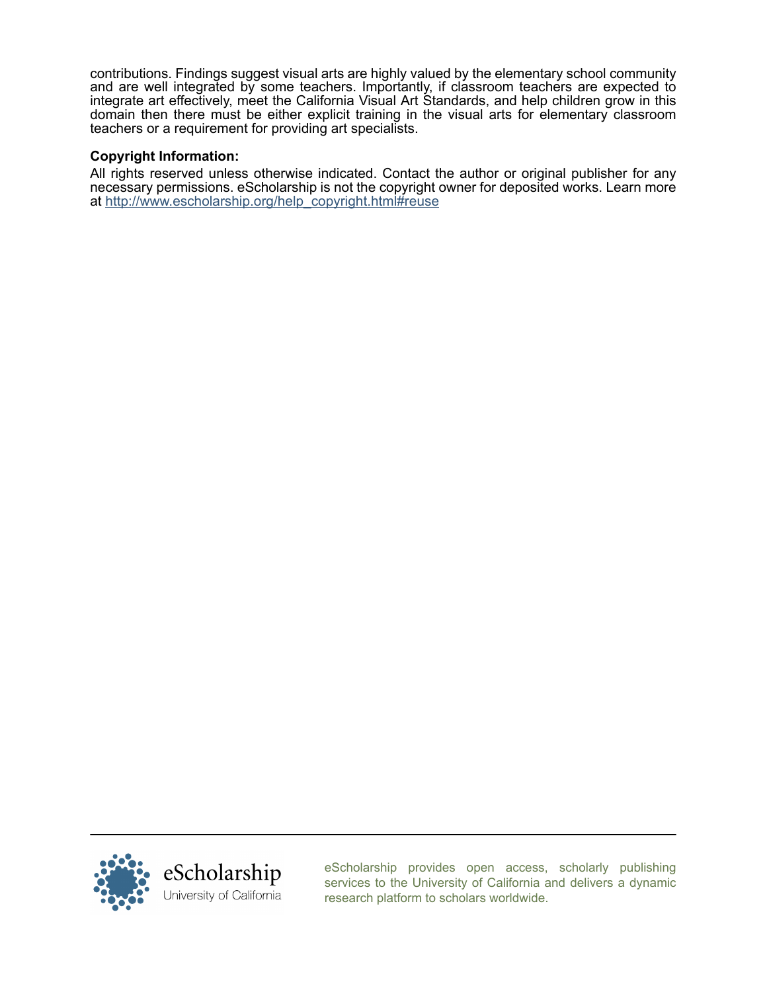contributions. Findings suggest visual arts are highly valued by the elementary school community and are well integrated by some teachers. Importantly, if classroom teachers are expected to integrate art effectively, meet the California Visual Art Standards, and help children grow in this domain then there must be either explicit training in the visual arts for elementary classroom teachers or a requirement for providing art specialists.

### **Copyright Information:**

All rights reserved unless otherwise indicated. Contact the author or original publisher for any necessary permissions. eScholarship is not the copyright owner for deposited works. Learn more at [http://www.escholarship.org/help\\_copyright.html#reuse](http://www.escholarship.org/help_copyright.html#reuse)



[eScholarship provides open access, scholarly publishing](http://escholarship.org) [services to the University of California and delivers a dynamic](http://escholarship.org) [research platform to scholars worldwide.](http://escholarship.org)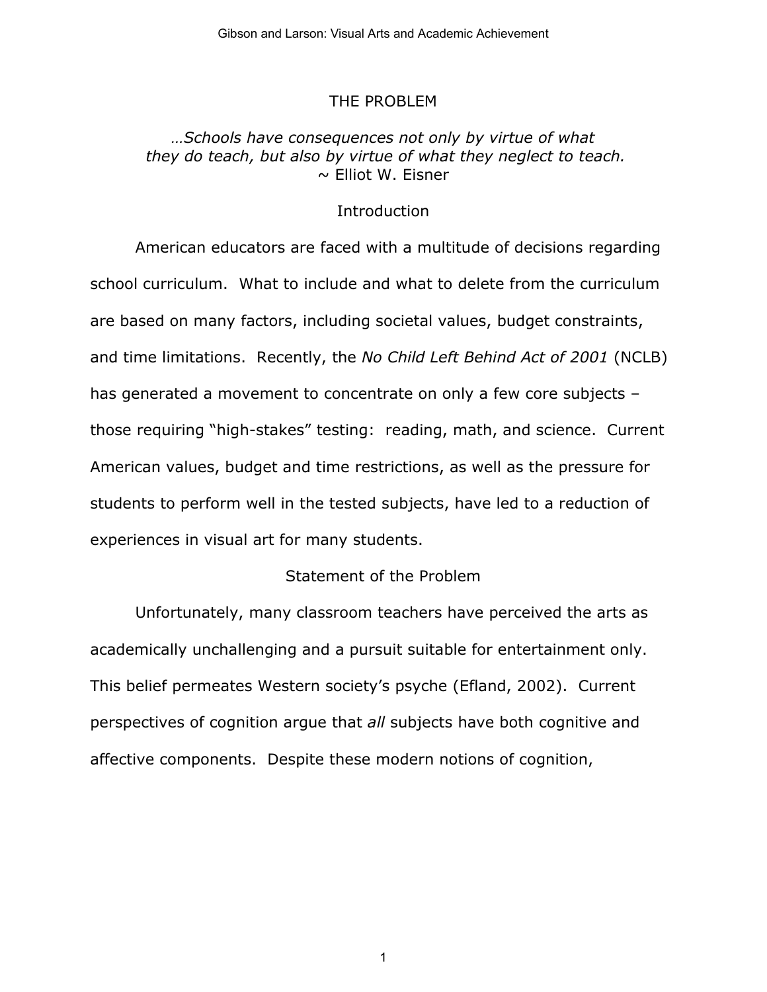## THE PROBLEM

## *…Schools have consequences not only by virtue of what they do teach, but also by virtue of what they neglect to teach.*   $\sim$  Elliot W. Eisner

## **Introduction**

American educators are faced with a multitude of decisions regarding school curriculum. What to include and what to delete from the curriculum are based on many factors, including societal values, budget constraints, and time limitations. Recently, the *No Child Left Behind Act of 2001* (NCLB) has generated a movement to concentrate on only a few core subjects those requiring "high-stakes" testing: reading, math, and science. Current American values, budget and time restrictions, as well as the pressure for students to perform well in the tested subjects, have led to a reduction of experiences in visual art for many students.

## Statement of the Problem

Unfortunately, many classroom teachers have perceived the arts as academically unchallenging and a pursuit suitable for entertainment only. This belief permeates Western society's psyche (Efland, 2002). Current perspectives of cognition argue that *all* subjects have both cognitive and affective components. Despite these modern notions of cognition,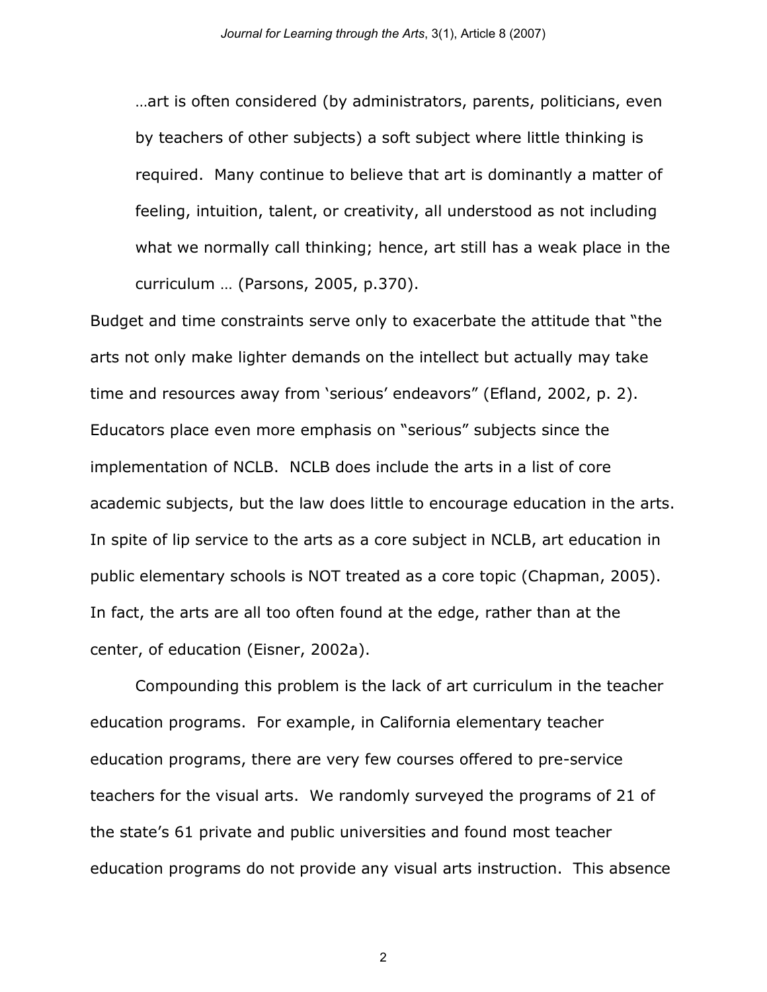…art is often considered (by administrators, parents, politicians, even by teachers of other subjects) a soft subject where little thinking is required. Many continue to believe that art is dominantly a matter of feeling, intuition, talent, or creativity, all understood as not including what we normally call thinking; hence, art still has a weak place in the curriculum … (Parsons, 2005, p.370).

Budget and time constraints serve only to exacerbate the attitude that "the arts not only make lighter demands on the intellect but actually may take time and resources away from 'serious' endeavors" (Efland, 2002, p. 2). Educators place even more emphasis on "serious" subjects since the implementation of NCLB. NCLB does include the arts in a list of core academic subjects, but the law does little to encourage education in the arts. In spite of lip service to the arts as a core subject in NCLB, art education in public elementary schools is NOT treated as a core topic (Chapman, 2005). In fact, the arts are all too often found at the edge, rather than at the center, of education (Eisner, 2002a).

Compounding this problem is the lack of art curriculum in the teacher education programs. For example, in California elementary teacher education programs, there are very few courses offered to pre-service teachers for the visual arts. We randomly surveyed the programs of 21 of the state's 61 private and public universities and found most teacher education programs do not provide any visual arts instruction. This absence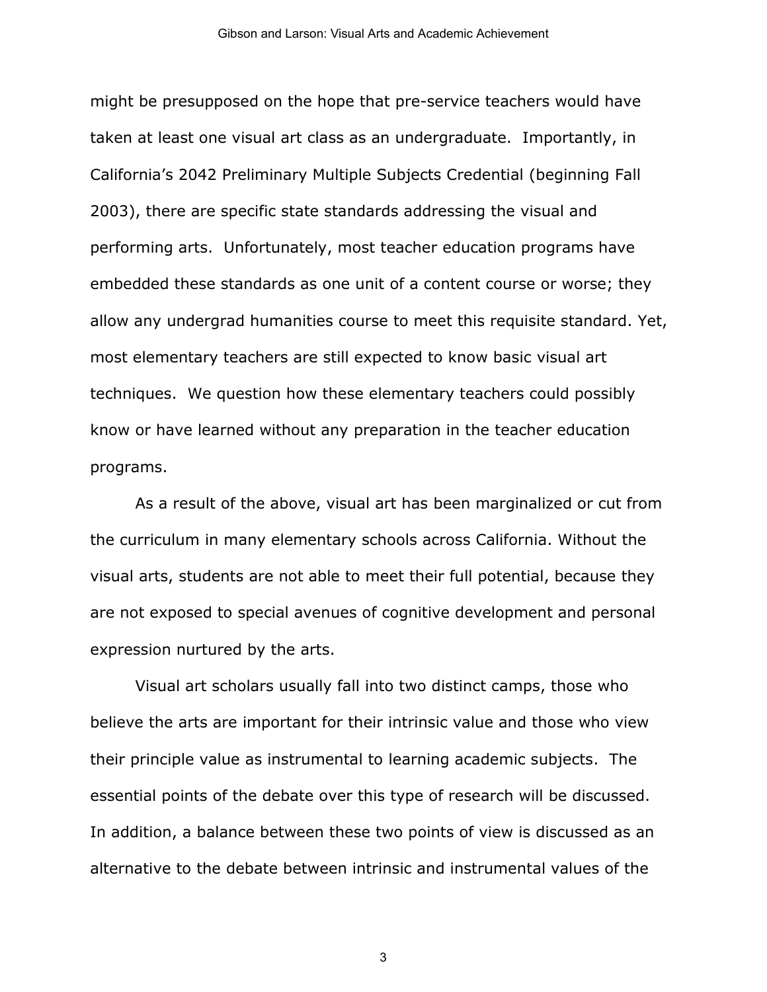might be presupposed on the hope that pre-service teachers would have taken at least one visual art class as an undergraduate. Importantly, in California's 2042 Preliminary Multiple Subjects Credential (beginning Fall 2003), there are specific state standards addressing the visual and performing arts. Unfortunately, most teacher education programs have embedded these standards as one unit of a content course or worse; they allow any undergrad humanities course to meet this requisite standard. Yet, most elementary teachers are still expected to know basic visual art techniques. We question how these elementary teachers could possibly know or have learned without any preparation in the teacher education programs.

As a result of the above, visual art has been marginalized or cut from the curriculum in many elementary schools across California. Without the visual arts, students are not able to meet their full potential, because they are not exposed to special avenues of cognitive development and personal expression nurtured by the arts.

Visual art scholars usually fall into two distinct camps, those who believe the arts are important for their intrinsic value and those who view their principle value as instrumental to learning academic subjects. The essential points of the debate over this type of research will be discussed. In addition, a balance between these two points of view is discussed as an alternative to the debate between intrinsic and instrumental values of the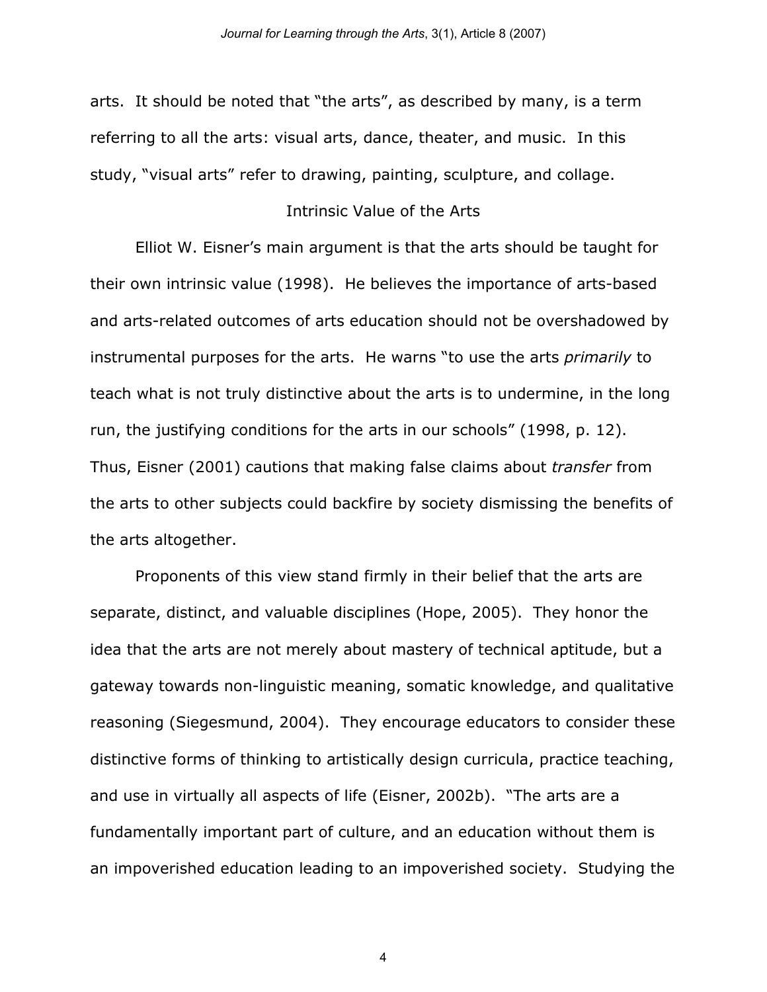arts. It should be noted that "the arts", as described by many, is a term referring to all the arts: visual arts, dance, theater, and music. In this study, "visual arts" refer to drawing, painting, sculpture, and collage.

## Intrinsic Value of the Arts

Elliot W. Eisner's main argument is that the arts should be taught for their own intrinsic value (1998). He believes the importance of arts-based and arts-related outcomes of arts education should not be overshadowed by instrumental purposes for the arts. He warns "to use the arts *primarily* to teach what is not truly distinctive about the arts is to undermine, in the long run, the justifying conditions for the arts in our schools" (1998, p. 12). Thus, Eisner (2001) cautions that making false claims about *transfer* from the arts to other subjects could backfire by society dismissing the benefits of the arts altogether.

Proponents of this view stand firmly in their belief that the arts are separate, distinct, and valuable disciplines (Hope, 2005). They honor the idea that the arts are not merely about mastery of technical aptitude, but a gateway towards non-linguistic meaning, somatic knowledge, and qualitative reasoning (Siegesmund, 2004). They encourage educators to consider these distinctive forms of thinking to artistically design curricula, practice teaching, and use in virtually all aspects of life (Eisner, 2002b). "The arts are a fundamentally important part of culture, and an education without them is an impoverished education leading to an impoverished society. Studying the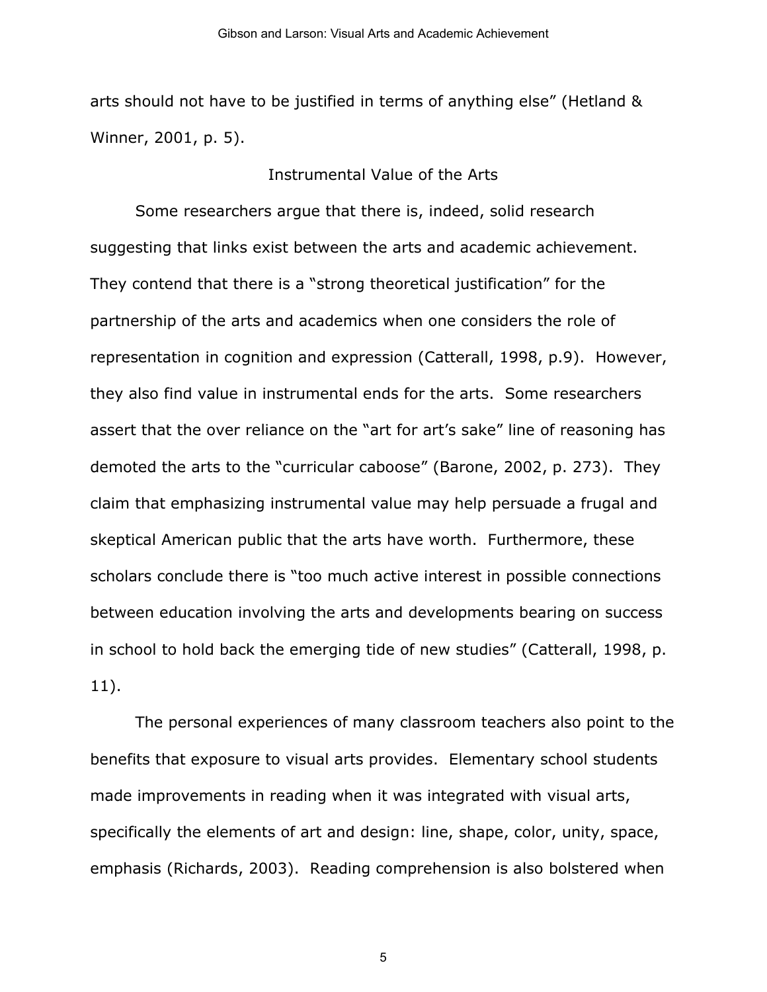arts should not have to be justified in terms of anything else" (Hetland & Winner, 2001, p. 5).

## Instrumental Value of the Arts

Some researchers argue that there is, indeed, solid research suggesting that links exist between the arts and academic achievement. They contend that there is a "strong theoretical justification" for the partnership of the arts and academics when one considers the role of representation in cognition and expression (Catterall, 1998, p.9). However, they also find value in instrumental ends for the arts. Some researchers assert that the over reliance on the "art for art's sake" line of reasoning has demoted the arts to the "curricular caboose" (Barone, 2002, p. 273). They claim that emphasizing instrumental value may help persuade a frugal and skeptical American public that the arts have worth. Furthermore, these scholars conclude there is "too much active interest in possible connections between education involving the arts and developments bearing on success in school to hold back the emerging tide of new studies" (Catterall, 1998, p. 11).

The personal experiences of many classroom teachers also point to the benefits that exposure to visual arts provides. Elementary school students made improvements in reading when it was integrated with visual arts, specifically the elements of art and design: line, shape, color, unity, space, emphasis (Richards, 2003). Reading comprehension is also bolstered when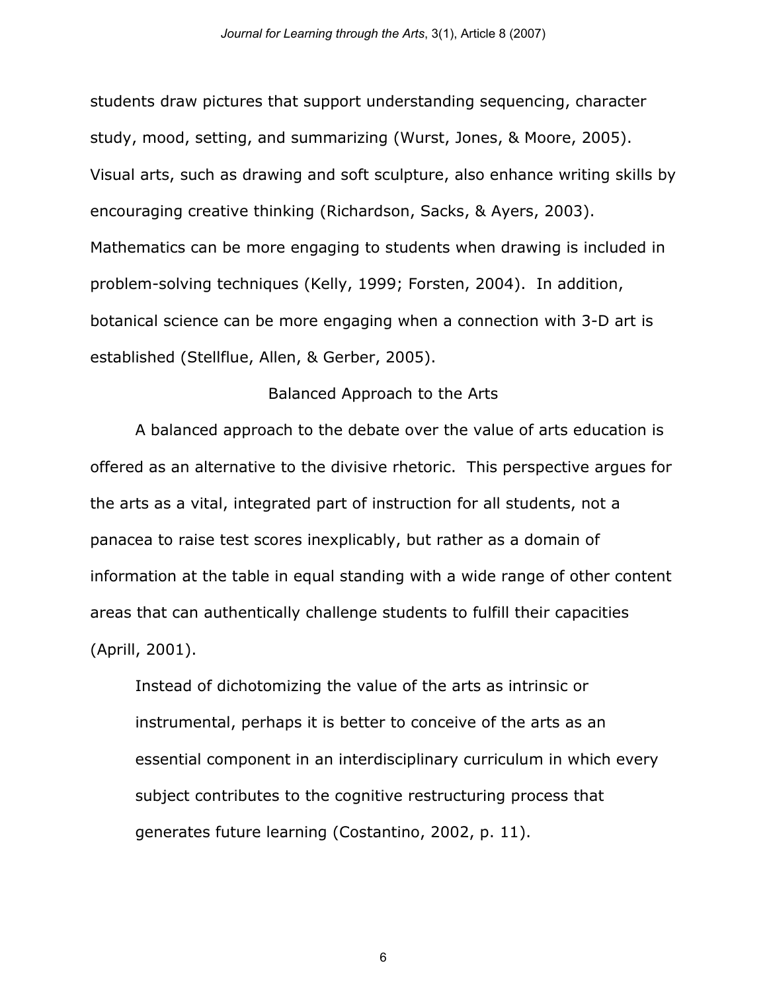students draw pictures that support understanding sequencing, character study, mood, setting, and summarizing (Wurst, Jones, & Moore, 2005). Visual arts, such as drawing and soft sculpture, also enhance writing skills by encouraging creative thinking (Richardson, Sacks, & Ayers, 2003). Mathematics can be more engaging to students when drawing is included in problem-solving techniques (Kelly, 1999; Forsten, 2004). In addition, botanical science can be more engaging when a connection with 3-D art is established (Stellflue, Allen, & Gerber, 2005).

## Balanced Approach to the Arts

A balanced approach to the debate over the value of arts education is offered as an alternative to the divisive rhetoric. This perspective argues for the arts as a vital, integrated part of instruction for all students, not a panacea to raise test scores inexplicably, but rather as a domain of information at the table in equal standing with a wide range of other content areas that can authentically challenge students to fulfill their capacities (Aprill, 2001).

Instead of dichotomizing the value of the arts as intrinsic or instrumental, perhaps it is better to conceive of the arts as an essential component in an interdisciplinary curriculum in which every subject contributes to the cognitive restructuring process that generates future learning (Costantino, 2002, p. 11).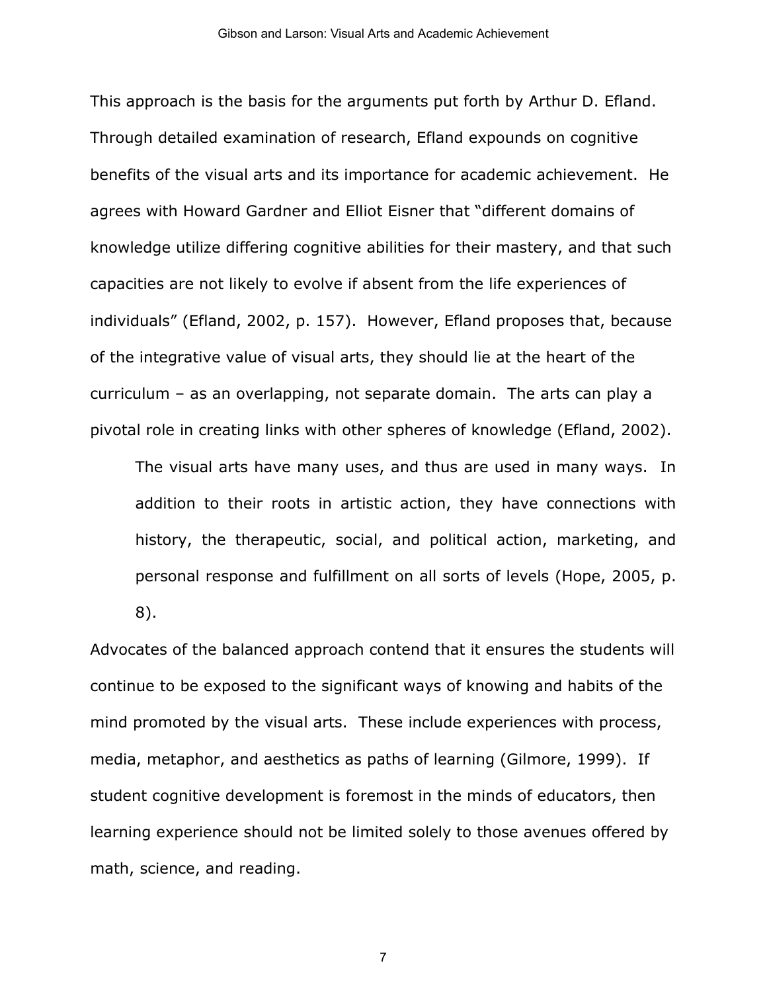This approach is the basis for the arguments put forth by Arthur D. Efland. Through detailed examination of research, Efland expounds on cognitive benefits of the visual arts and its importance for academic achievement. He agrees with Howard Gardner and Elliot Eisner that "different domains of knowledge utilize differing cognitive abilities for their mastery, and that such capacities are not likely to evolve if absent from the life experiences of individuals" (Efland, 2002, p. 157). However, Efland proposes that, because of the integrative value of visual arts, they should lie at the heart of the curriculum – as an overlapping, not separate domain. The arts can play a pivotal role in creating links with other spheres of knowledge (Efland, 2002).

The visual arts have many uses, and thus are used in many ways. In addition to their roots in artistic action, they have connections with history, the therapeutic, social, and political action, marketing, and personal response and fulfillment on all sorts of levels (Hope, 2005, p. 8).

Advocates of the balanced approach contend that it ensures the students will continue to be exposed to the significant ways of knowing and habits of the mind promoted by the visual arts. These include experiences with process, media, metaphor, and aesthetics as paths of learning (Gilmore, 1999). If student cognitive development is foremost in the minds of educators, then learning experience should not be limited solely to those avenues offered by math, science, and reading.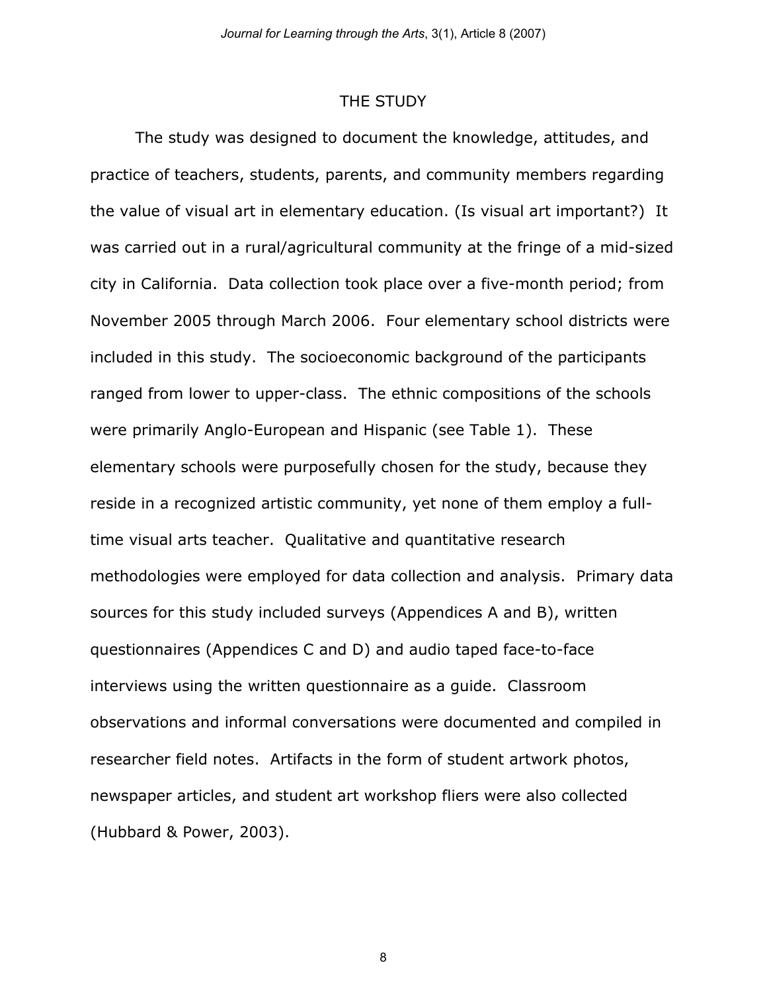#### THE STUDY

The study was designed to document the knowledge, attitudes, and practice of teachers, students, parents, and community members regarding the value of visual art in elementary education. (Is visual art important?) It was carried out in a rural/agricultural community at the fringe of a mid-sized city in California. Data collection took place over a five-month period; from November 2005 through March 2006. Four elementary school districts were included in this study. The socioeconomic background of the participants ranged from lower to upper-class. The ethnic compositions of the schools were primarily Anglo-European and Hispanic (see Table 1). These elementary schools were purposefully chosen for the study, because they reside in a recognized artistic community, yet none of them employ a fulltime visual arts teacher. Qualitative and quantitative research methodologies were employed for data collection and analysis. Primary data sources for this study included surveys (Appendices A and B), written questionnaires (Appendices C and D) and audio taped face-to-face interviews using the written questionnaire as a guide. Classroom observations and informal conversations were documented and compiled in researcher field notes. Artifacts in the form of student artwork photos, newspaper articles, and student art workshop fliers were also collected (Hubbard & Power, 2003).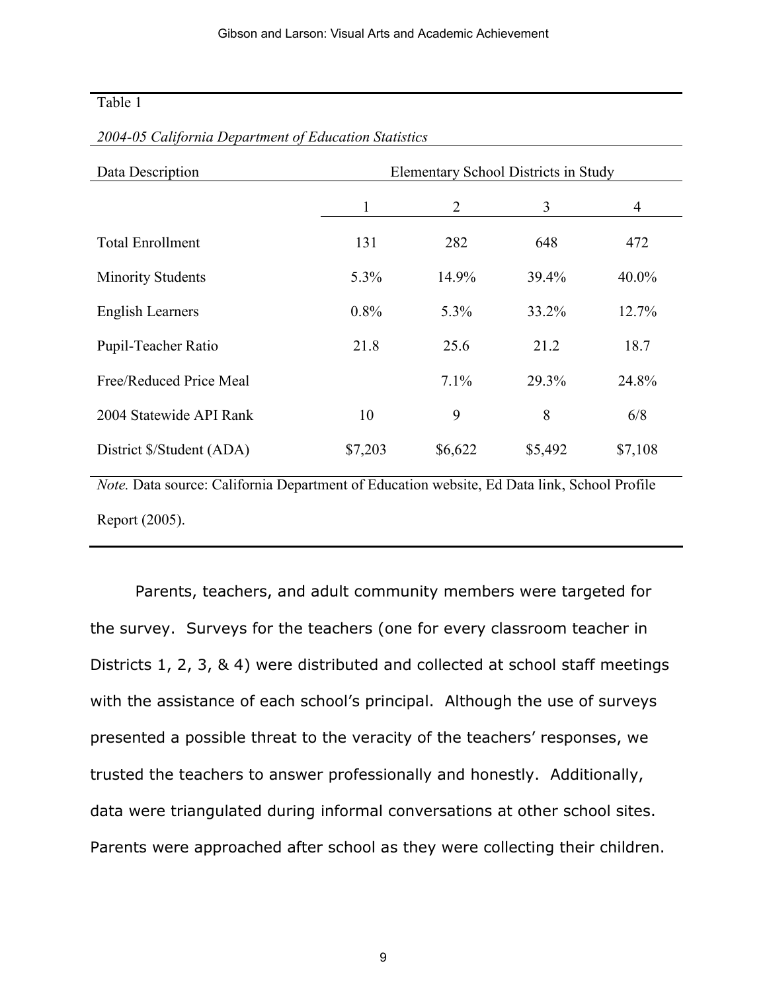## Table 1

| Data Description                                                                            | Elementary School Districts in Study |         |         |          |  |
|---------------------------------------------------------------------------------------------|--------------------------------------|---------|---------|----------|--|
|                                                                                             | 1                                    | 2       | 3       | 4        |  |
| <b>Total Enrollment</b>                                                                     | 131                                  | 282     | 648     | 472      |  |
| <b>Minority Students</b>                                                                    | 5.3%                                 | 14.9%   | 39.4%   | $40.0\%$ |  |
| English Learners                                                                            | $0.8\%$                              | 5.3%    | 33.2%   | 12.7%    |  |
| Pupil-Teacher Ratio                                                                         | 21.8                                 | 25.6    | 21.2    | 18.7     |  |
| Free/Reduced Price Meal                                                                     |                                      | 7.1%    | 29.3%   | 24.8%    |  |
| 2004 Statewide API Rank                                                                     | 10                                   | 9       | 8       | 6/8      |  |
| District \$/Student (ADA)                                                                   | \$7,203                              | \$6,622 | \$5,492 | \$7,108  |  |
| Note. Data source: California Department of Education website, Ed Data link, School Profile |                                      |         |         |          |  |

#### *2004-05 California Department of Education Statistics*

*Note.* Data source: California Department of Education website, Ed Data link, School Profile Report (2005).

Parents, teachers, and adult community members were targeted for the survey. Surveys for the teachers (one for every classroom teacher in Districts 1, 2, 3, & 4) were distributed and collected at school staff meetings with the assistance of each school's principal. Although the use of surveys presented a possible threat to the veracity of the teachers' responses, we trusted the teachers to answer professionally and honestly. Additionally, data were triangulated during informal conversations at other school sites. Parents were approached after school as they were collecting their children.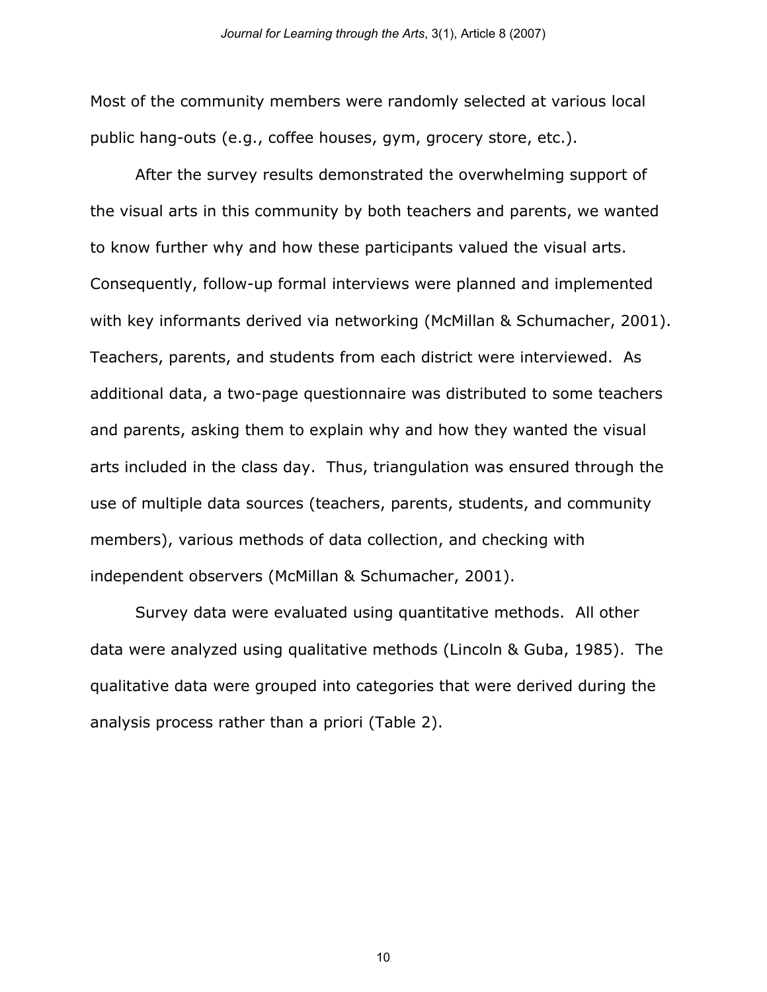Most of the community members were randomly selected at various local public hang-outs (e.g., coffee houses, gym, grocery store, etc.).

After the survey results demonstrated the overwhelming support of the visual arts in this community by both teachers and parents, we wanted to know further why and how these participants valued the visual arts. Consequently, follow-up formal interviews were planned and implemented with key informants derived via networking (McMillan & Schumacher, 2001). Teachers, parents, and students from each district were interviewed. As additional data, a two-page questionnaire was distributed to some teachers and parents, asking them to explain why and how they wanted the visual arts included in the class day. Thus, triangulation was ensured through the use of multiple data sources (teachers, parents, students, and community members), various methods of data collection, and checking with independent observers (McMillan & Schumacher, 2001).

Survey data were evaluated using quantitative methods. All other data were analyzed using qualitative methods (Lincoln & Guba, 1985). The qualitative data were grouped into categories that were derived during the analysis process rather than a priori (Table 2).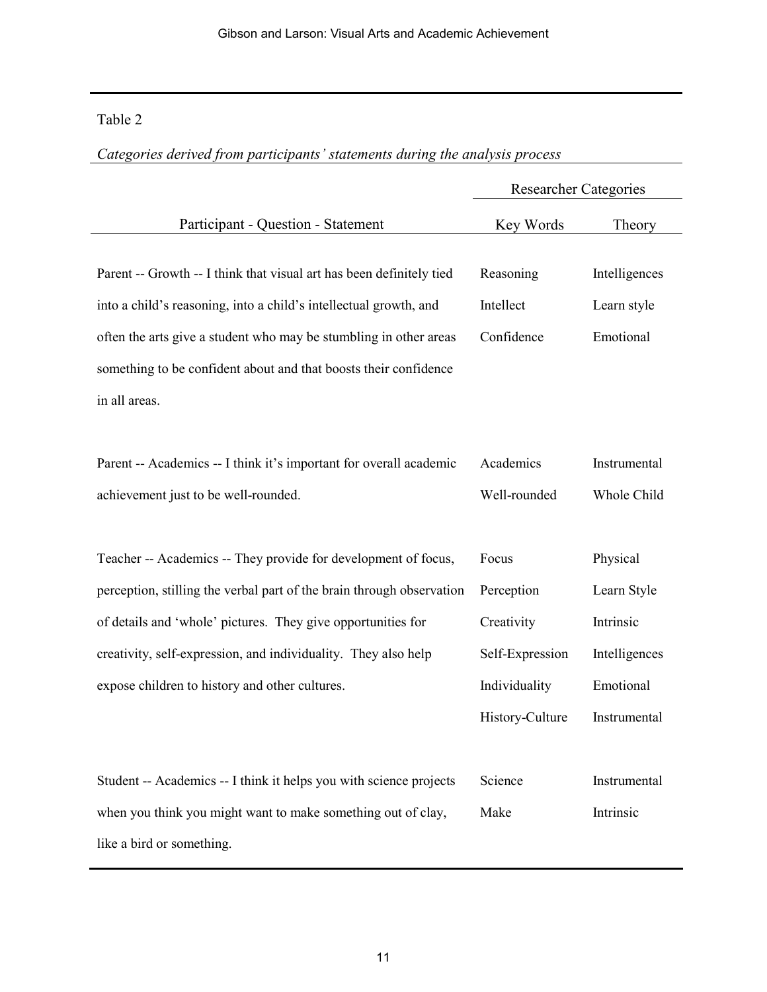## Table 2

|                                                                                                                                                                                                                                                                                                     | <b>Researcher Categories</b>         |                                           |
|-----------------------------------------------------------------------------------------------------------------------------------------------------------------------------------------------------------------------------------------------------------------------------------------------------|--------------------------------------|-------------------------------------------|
| Participant - Question - Statement                                                                                                                                                                                                                                                                  | Key Words                            | Theory                                    |
| Parent -- Growth -- I think that visual art has been definitely tied<br>into a child's reasoning, into a child's intellectual growth, and<br>often the arts give a student who may be stumbling in other areas<br>something to be confident about and that boosts their confidence<br>in all areas. | Reasoning<br>Intellect<br>Confidence | Intelligences<br>Learn style<br>Emotional |
| Parent -- Academics -- I think it's important for overall academic<br>achievement just to be well-rounded.                                                                                                                                                                                          | Academics<br>Well-rounded            | Instrumental<br>Whole Child               |
| Teacher -- Academics -- They provide for development of focus,                                                                                                                                                                                                                                      | Focus                                | Physical                                  |
| perception, stilling the verbal part of the brain through observation                                                                                                                                                                                                                               | Perception                           | Learn Style                               |
| of details and 'whole' pictures. They give opportunities for                                                                                                                                                                                                                                        | Creativity                           | Intrinsic                                 |
| creativity, self-expression, and individuality. They also help                                                                                                                                                                                                                                      | Self-Expression                      | Intelligences                             |
| expose children to history and other cultures.                                                                                                                                                                                                                                                      | Individuality                        | Emotional                                 |
|                                                                                                                                                                                                                                                                                                     | History-Culture                      | Instrumental                              |
| Student -- Academics -- I think it helps you with science projects<br>when you think you might want to make something out of clay,<br>like a bird or something.                                                                                                                                     | Science<br>Make                      | Instrumental<br>Intrinsic                 |

*Categories derived from participants' statements during the analysis process*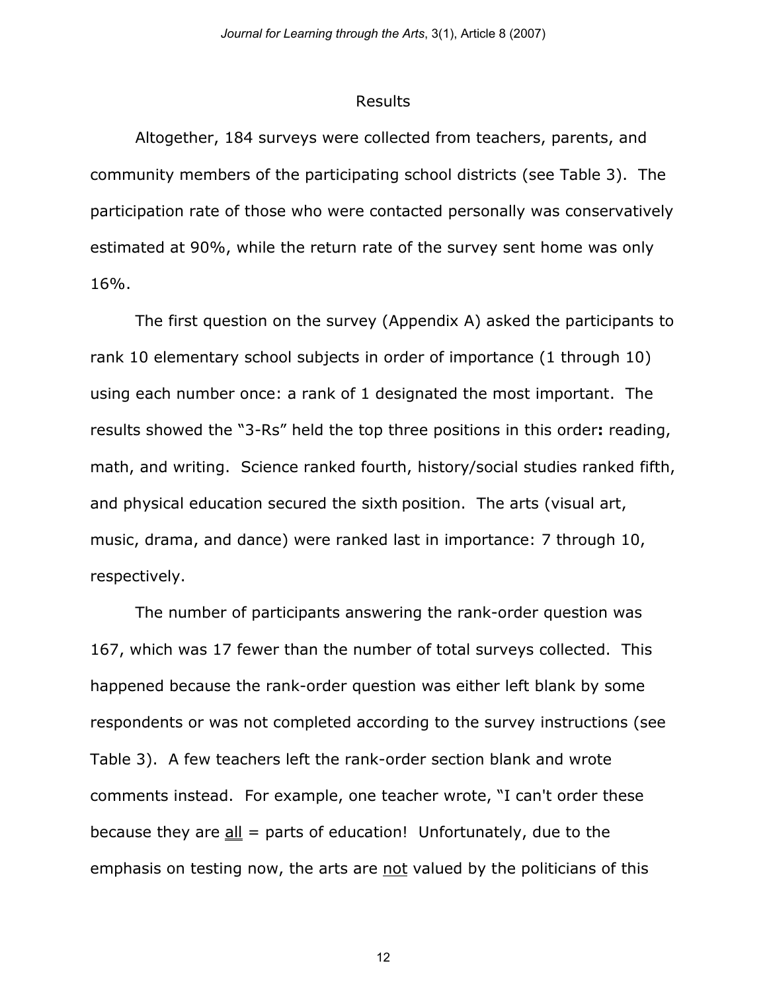#### Results

Altogether, 184 surveys were collected from teachers, parents, and community members of the participating school districts (see Table 3). The participation rate of those who were contacted personally was conservatively estimated at 90%, while the return rate of the survey sent home was only 16%.

The first question on the survey (Appendix A) asked the participants to rank 10 elementary school subjects in order of importance (1 through 10) using each number once: a rank of 1 designated the most important. The results showed the "3-Rs" held the top three positions in this order**:** reading, math, and writing. Science ranked fourth, history/social studies ranked fifth, and physical education secured the sixth position. The arts (visual art, music, drama, and dance) were ranked last in importance: 7 through 10, respectively.

The number of participants answering the rank-order question was 167, which was 17 fewer than the number of total surveys collected. This happened because the rank-order question was either left blank by some respondents or was not completed according to the survey instructions (see Table 3). A few teachers left the rank-order section blank and wrote comments instead. For example, one teacher wrote, "I can't order these because they are  $all =$  parts of education! Unfortunately, due to the emphasis on testing now, the arts are not valued by the politicians of this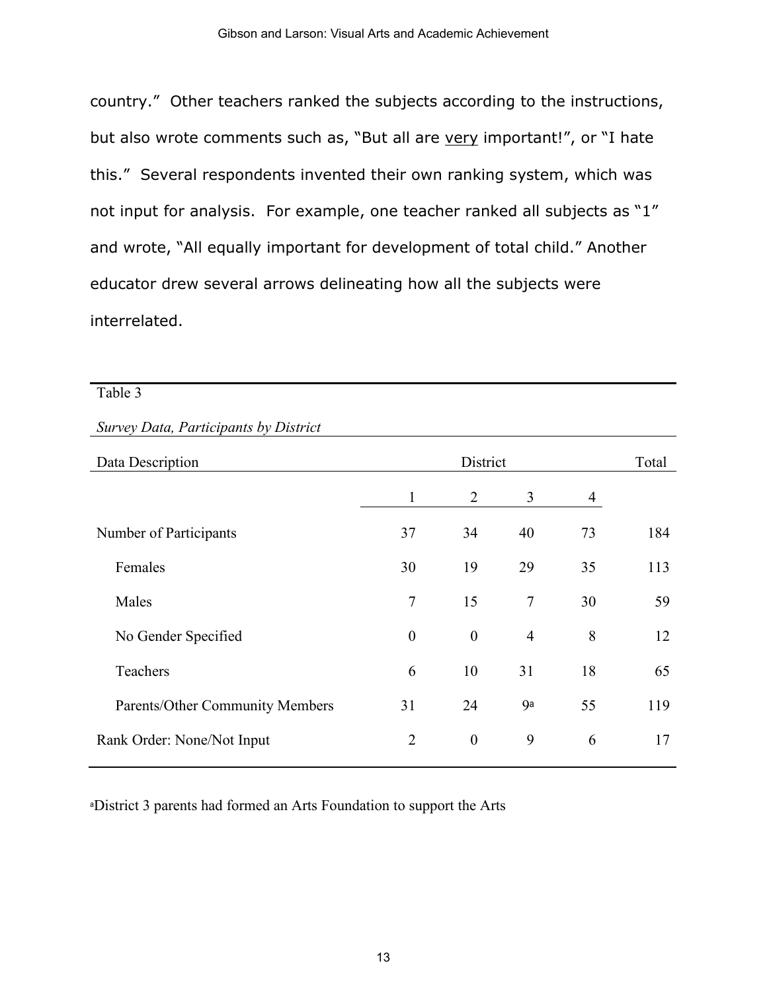country." Other teachers ranked the subjects according to the instructions, but also wrote comments such as, "But all are very important!", or "I hate this." Several respondents invented their own ranking system, which was not input for analysis. For example, one teacher ranked all subjects as "1" and wrote, "All equally important for development of total child." Another educator drew several arrows delineating how all the subjects were interrelated.

#### Table 3

## *Survey Data, Participants by District*

| Data Description                |                  | District         |                |    | Total |
|---------------------------------|------------------|------------------|----------------|----|-------|
|                                 | $\mathbf{1}$     | 2                | 3              | 4  |       |
| Number of Participants          | 37               | 34               | 40             | 73 | 184   |
| Females                         | 30               | 19               | 29             | 35 | 113   |
| Males                           | $\overline{7}$   | 15               | $\tau$         | 30 | 59    |
| No Gender Specified             | $\boldsymbol{0}$ | $\boldsymbol{0}$ | $\overline{4}$ | 8  | 12    |
| Teachers                        | 6                | 10               | 31             | 18 | 65    |
| Parents/Other Community Members | 31               | 24               | <b>ga</b>      | 55 | 119   |
| Rank Order: None/Not Input      | $\overline{2}$   | $\boldsymbol{0}$ | 9              | 6  | 17    |

<sup>a</sup>District 3 parents had formed an Arts Foundation to support the Arts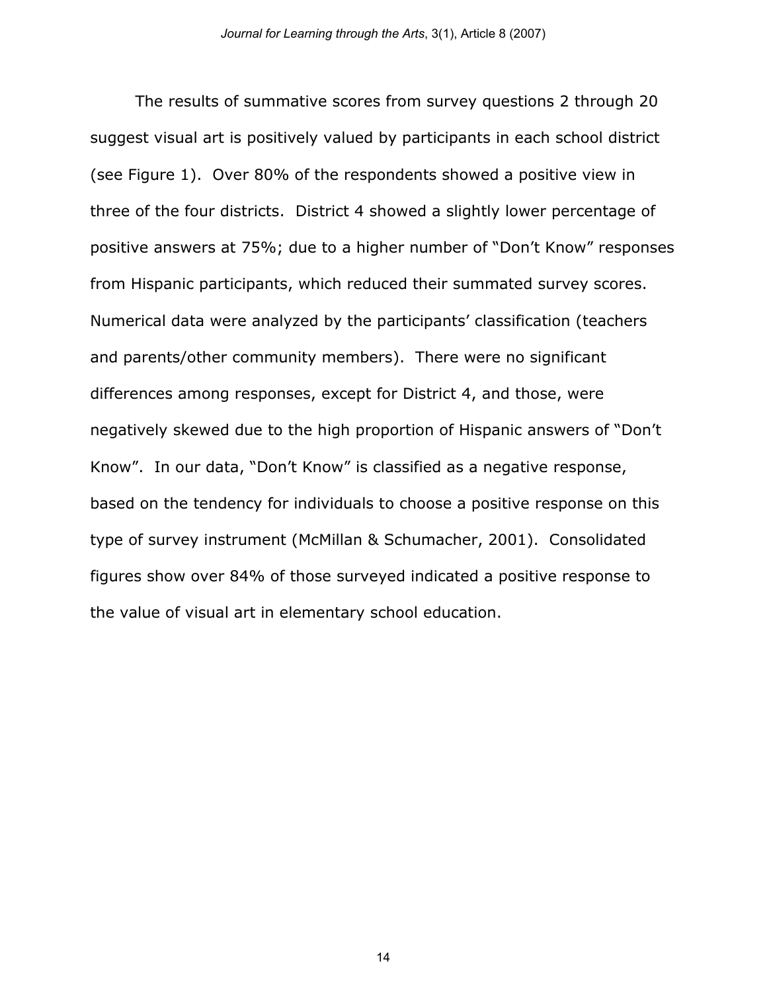The results of summative scores from survey questions 2 through 20 suggest visual art is positively valued by participants in each school district (see Figure 1). Over 80% of the respondents showed a positive view in three of the four districts. District 4 showed a slightly lower percentage of positive answers at 75%; due to a higher number of "Don't Know" responses from Hispanic participants, which reduced their summated survey scores. Numerical data were analyzed by the participants' classification (teachers and parents/other community members). There were no significant differences among responses, except for District 4, and those, were negatively skewed due to the high proportion of Hispanic answers of "Don't Know". In our data, "Don't Know" is classified as a negative response, based on the tendency for individuals to choose a positive response on this type of survey instrument (McMillan & Schumacher, 2001). Consolidated figures show over 84% of those surveyed indicated a positive response to the value of visual art in elementary school education.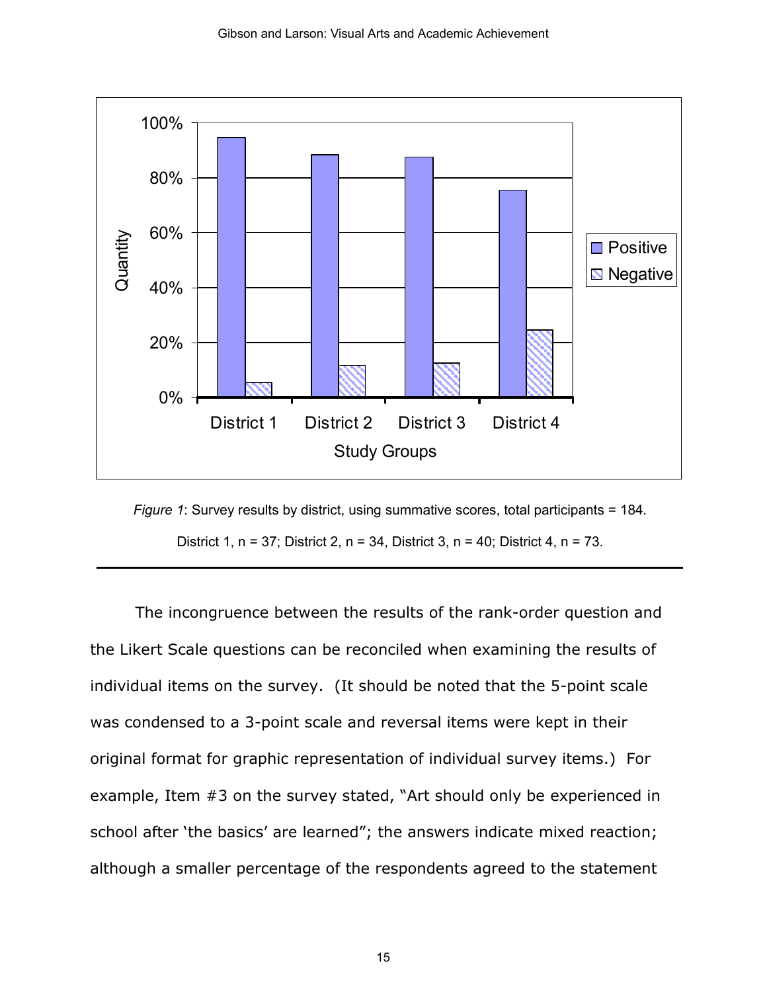

*Figure 1*: Survey results by district, using summative scores, total participants = 184. District 1, n = 37; District 2, n = 34, District 3, n = 40; District 4, n = 73.

The incongruence between the results of the rank-order question and the Likert Scale questions can be reconciled when examining the results of individual items on the survey. (It should be noted that the 5-point scale was condensed to a 3-point scale and reversal items were kept in their original format for graphic representation of individual survey items.) For example, Item #3 on the survey stated, "Art should only be experienced in school after 'the basics' are learned"; the answers indicate mixed reaction; although a smaller percentage of the respondents agreed to the statement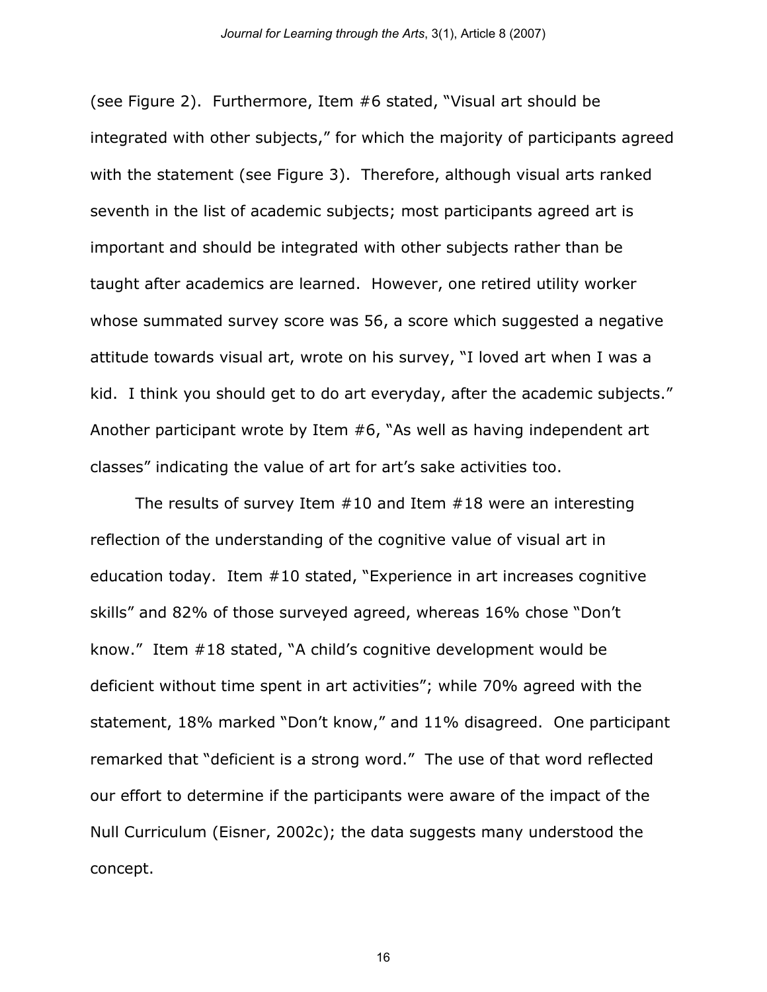(see Figure 2). Furthermore, Item #6 stated, "Visual art should be integrated with other subjects," for which the majority of participants agreed with the statement (see Figure 3). Therefore, although visual arts ranked seventh in the list of academic subjects; most participants agreed art is important and should be integrated with other subjects rather than be taught after academics are learned. However, one retired utility worker whose summated survey score was 56, a score which suggested a negative attitude towards visual art, wrote on his survey, "I loved art when I was a kid. I think you should get to do art everyday, after the academic subjects." Another participant wrote by Item #6, "As well as having independent art classes" indicating the value of art for art's sake activities too.

The results of survey Item #10 and Item #18 were an interesting reflection of the understanding of the cognitive value of visual art in education today. Item #10 stated, "Experience in art increases cognitive skills" and 82% of those surveyed agreed, whereas 16% chose "Don't know." Item #18 stated, "A child's cognitive development would be deficient without time spent in art activities"; while 70% agreed with the statement, 18% marked "Don't know," and 11% disagreed. One participant remarked that "deficient is a strong word." The use of that word reflected our effort to determine if the participants were aware of the impact of the Null Curriculum (Eisner, 2002c); the data suggests many understood the concept.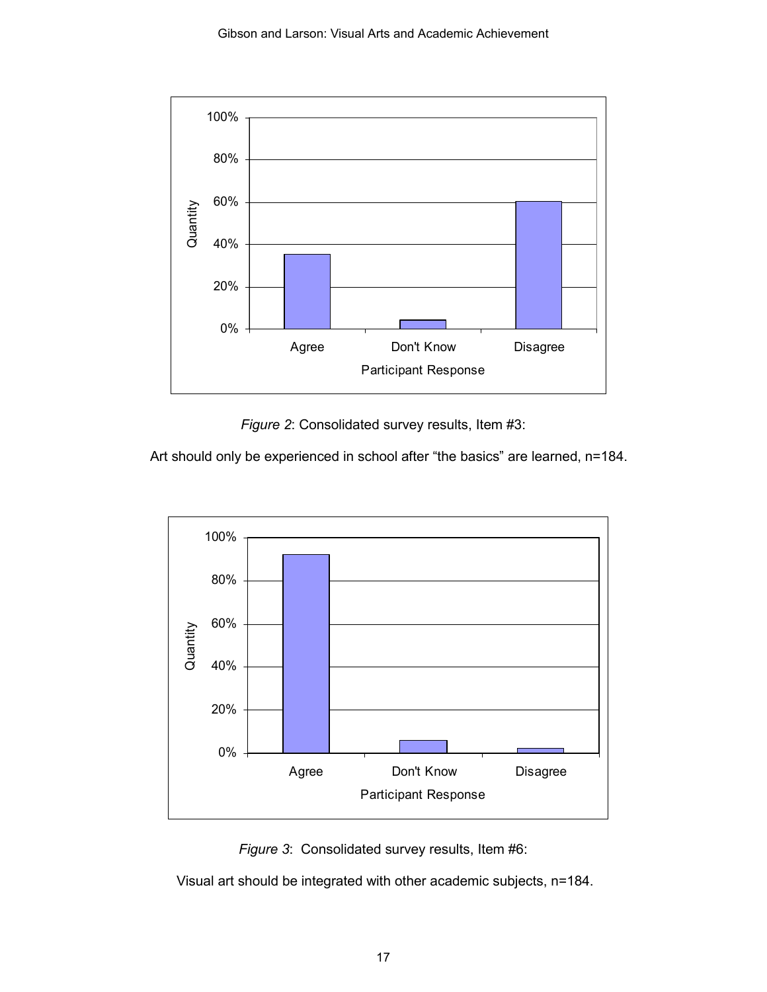

*Figure 2*: Consolidated survey results, Item #3:

Art should only be experienced in school after "the basics" are learned, n=184.





Visual art should be integrated with other academic subjects, n=184.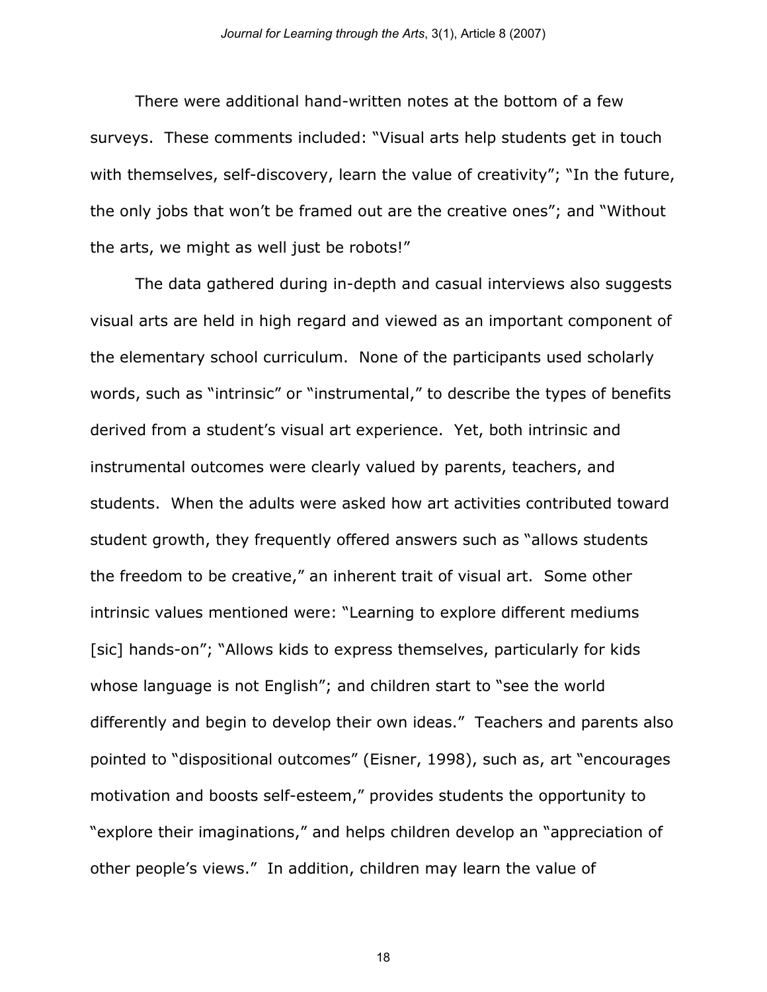There were additional hand-written notes at the bottom of a few surveys. These comments included: "Visual arts help students get in touch with themselves, self-discovery, learn the value of creativity"; "In the future, the only jobs that won't be framed out are the creative ones"; and "Without the arts, we might as well just be robots!"

The data gathered during in-depth and casual interviews also suggests visual arts are held in high regard and viewed as an important component of the elementary school curriculum. None of the participants used scholarly words, such as "intrinsic" or "instrumental," to describe the types of benefits derived from a student's visual art experience. Yet, both intrinsic and instrumental outcomes were clearly valued by parents, teachers, and students. When the adults were asked how art activities contributed toward student growth, they frequently offered answers such as "allows students the freedom to be creative," an inherent trait of visual art. Some other intrinsic values mentioned were: "Learning to explore different mediums [sic] hands-on"; "Allows kids to express themselves, particularly for kids whose language is not English"; and children start to "see the world differently and begin to develop their own ideas." Teachers and parents also pointed to "dispositional outcomes" (Eisner, 1998), such as, art "encourages motivation and boosts self-esteem," provides students the opportunity to "explore their imaginations," and helps children develop an "appreciation of other people's views." In addition, children may learn the value of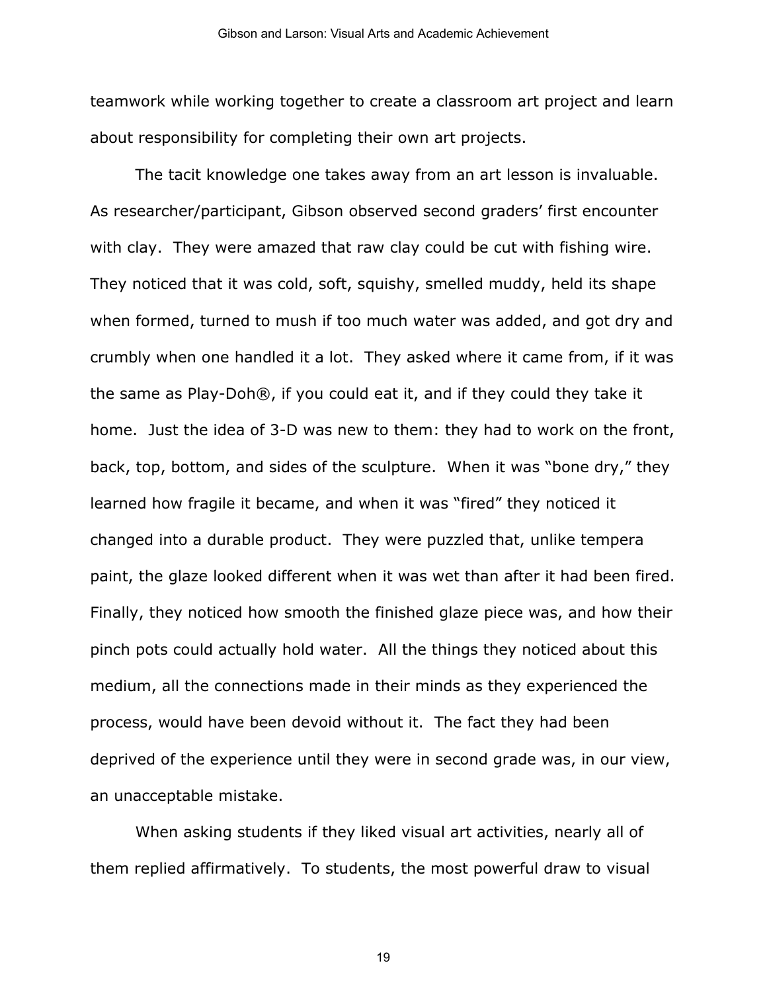teamwork while working together to create a classroom art project and learn about responsibility for completing their own art projects.

The tacit knowledge one takes away from an art lesson is invaluable. As researcher/participant, Gibson observed second graders' first encounter with clay. They were amazed that raw clay could be cut with fishing wire. They noticed that it was cold, soft, squishy, smelled muddy, held its shape when formed, turned to mush if too much water was added, and got dry and crumbly when one handled it a lot. They asked where it came from, if it was the same as Play-Doh®, if you could eat it, and if they could they take it home. Just the idea of 3-D was new to them: they had to work on the front, back, top, bottom, and sides of the sculpture. When it was "bone dry," they learned how fragile it became, and when it was "fired" they noticed it changed into a durable product. They were puzzled that, unlike tempera paint, the glaze looked different when it was wet than after it had been fired. Finally, they noticed how smooth the finished glaze piece was, and how their pinch pots could actually hold water. All the things they noticed about this medium, all the connections made in their minds as they experienced the process, would have been devoid without it. The fact they had been deprived of the experience until they were in second grade was, in our view, an unacceptable mistake.

When asking students if they liked visual art activities, nearly all of them replied affirmatively. To students, the most powerful draw to visual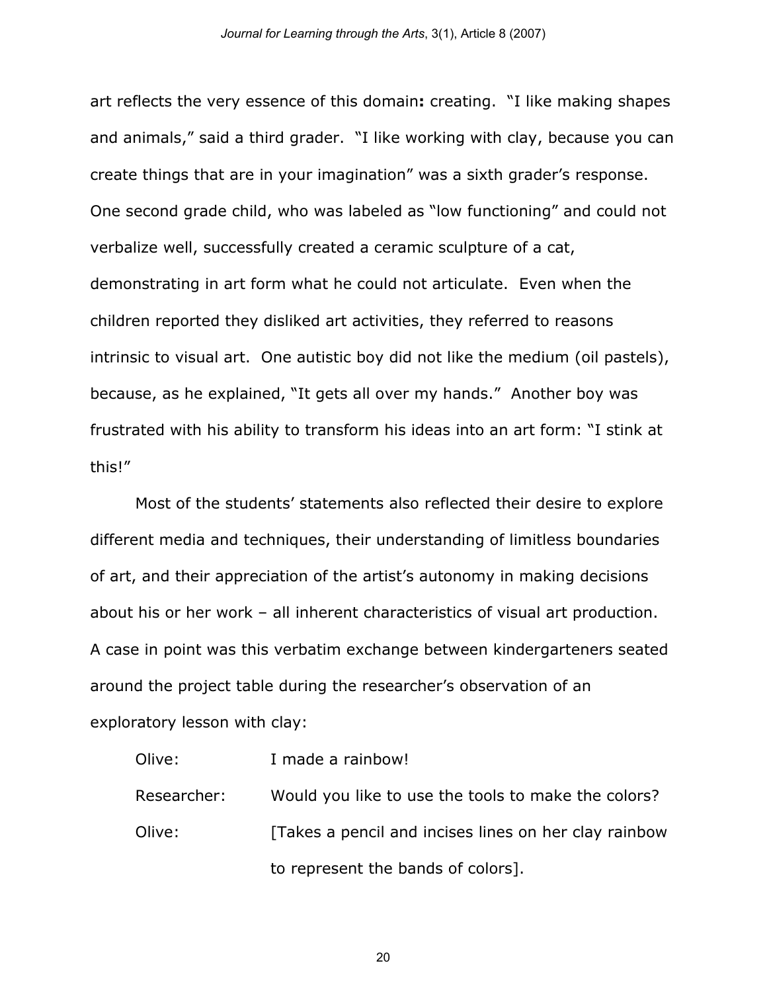art reflects the very essence of this domain**:** creating. "I like making shapes and animals," said a third grader. "I like working with clay, because you can create things that are in your imagination" was a sixth grader's response. One second grade child, who was labeled as "low functioning" and could not verbalize well, successfully created a ceramic sculpture of a cat, demonstrating in art form what he could not articulate. Even when the children reported they disliked art activities, they referred to reasons intrinsic to visual art. One autistic boy did not like the medium (oil pastels), because, as he explained, "It gets all over my hands." Another boy was frustrated with his ability to transform his ideas into an art form: "I stink at this!"

Most of the students' statements also reflected their desire to explore different media and techniques, their understanding of limitless boundaries of art, and their appreciation of the artist's autonomy in making decisions about his or her work – all inherent characteristics of visual art production. A case in point was this verbatim exchange between kindergarteners seated around the project table during the researcher's observation of an exploratory lesson with clay:

| Olive:      | I made a rainbow!                                      |
|-------------|--------------------------------------------------------|
| Researcher: | Would you like to use the tools to make the colors?    |
| Olive:      | [Takes a pencil and incises lines on her clay rainbow] |
|             | to represent the bands of colors].                     |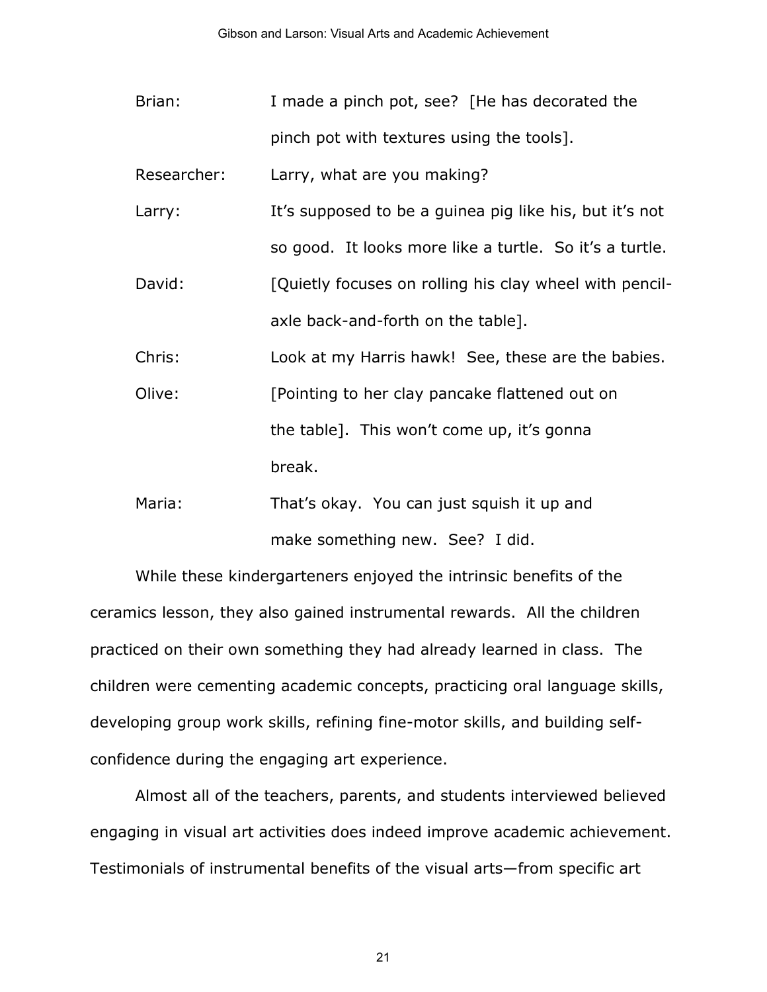Brian: I made a pinch pot, see? [He has decorated the pinch pot with textures using the tools].

Researcher: Larry, what are you making?

- Larry: It's supposed to be a guinea pig like his, but it's not so good. It looks more like a turtle. So it's a turtle.
- David: [Quietly focuses on rolling his clay wheel with pencilaxle back-and-forth on the table].

Chris: Look at my Harris hawk! See, these are the babies.

- Olive: [Pointing to her clay pancake flattened out on the table]. This won't come up, it's gonna break.
- Maria: That's okay. You can just squish it up and make something new. See? I did.

While these kindergarteners enjoyed the intrinsic benefits of the ceramics lesson, they also gained instrumental rewards. All the children practiced on their own something they had already learned in class. The children were cementing academic concepts, practicing oral language skills, developing group work skills, refining fine-motor skills, and building selfconfidence during the engaging art experience.

Almost all of the teachers, parents, and students interviewed believed engaging in visual art activities does indeed improve academic achievement. Testimonials of instrumental benefits of the visual arts—from specific art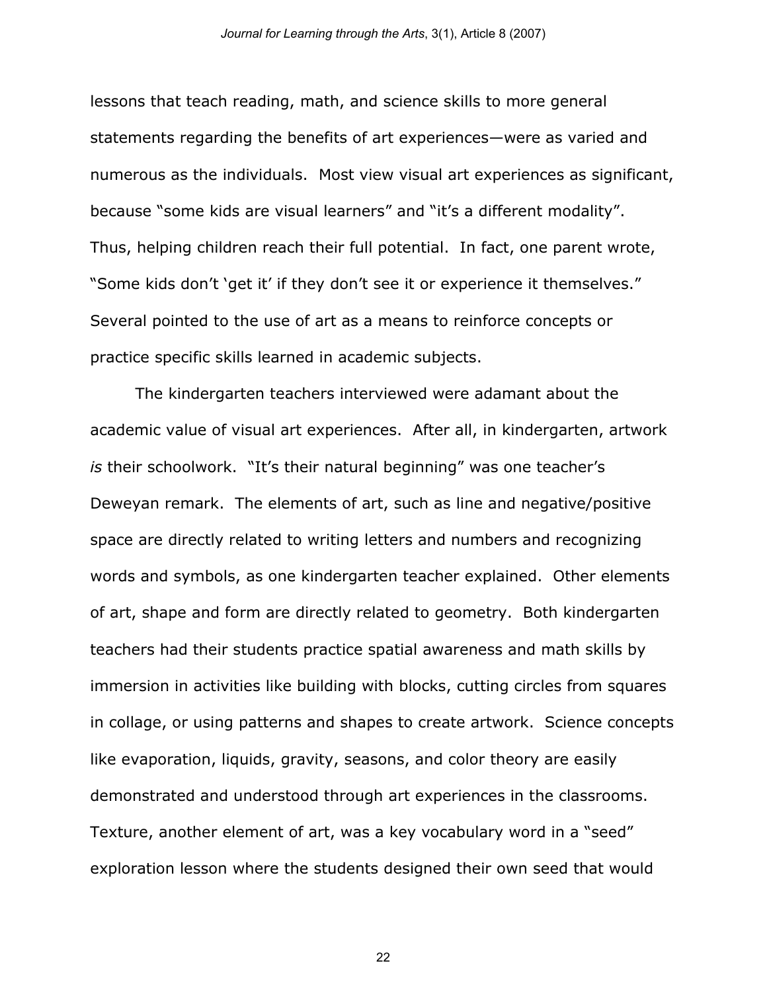lessons that teach reading, math, and science skills to more general statements regarding the benefits of art experiences—were as varied and numerous as the individuals. Most view visual art experiences as significant, because "some kids are visual learners" and "it's a different modality". Thus, helping children reach their full potential. In fact, one parent wrote, "Some kids don't 'get it' if they don't see it or experience it themselves." Several pointed to the use of art as a means to reinforce concepts or practice specific skills learned in academic subjects.

The kindergarten teachers interviewed were adamant about the academic value of visual art experiences. After all, in kindergarten, artwork *is* their schoolwork. "It's their natural beginning" was one teacher's Deweyan remark. The elements of art, such as line and negative/positive space are directly related to writing letters and numbers and recognizing words and symbols, as one kindergarten teacher explained. Other elements of art, shape and form are directly related to geometry. Both kindergarten teachers had their students practice spatial awareness and math skills by immersion in activities like building with blocks, cutting circles from squares in collage, or using patterns and shapes to create artwork. Science concepts like evaporation, liquids, gravity, seasons, and color theory are easily demonstrated and understood through art experiences in the classrooms. Texture, another element of art, was a key vocabulary word in a "seed" exploration lesson where the students designed their own seed that would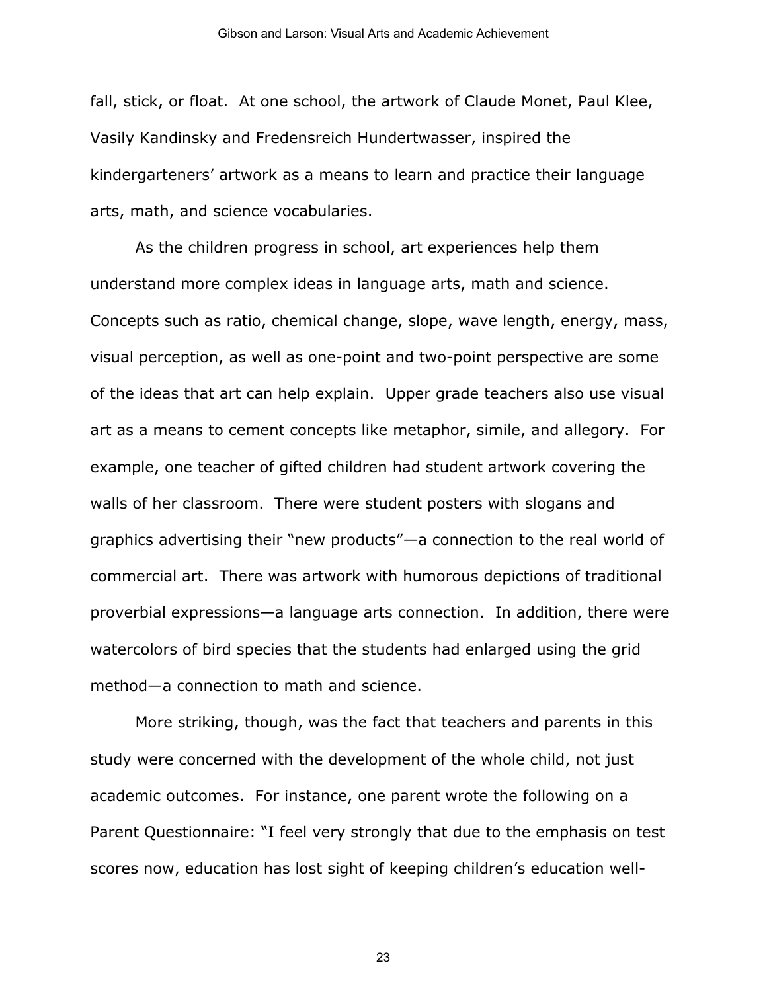fall, stick, or float. At one school, the artwork of Claude Monet, Paul Klee, Vasily Kandinsky and Fredensreich Hundertwasser, inspired the kindergarteners' artwork as a means to learn and practice their language arts, math, and science vocabularies.

As the children progress in school, art experiences help them understand more complex ideas in language arts, math and science. Concepts such as ratio, chemical change, slope, wave length, energy, mass, visual perception, as well as one-point and two-point perspective are some of the ideas that art can help explain. Upper grade teachers also use visual art as a means to cement concepts like metaphor, simile, and allegory. For example, one teacher of gifted children had student artwork covering the walls of her classroom. There were student posters with slogans and graphics advertising their "new products"—a connection to the real world of commercial art. There was artwork with humorous depictions of traditional proverbial expressions—a language arts connection. In addition, there were watercolors of bird species that the students had enlarged using the grid method—a connection to math and science.

More striking, though, was the fact that teachers and parents in this study were concerned with the development of the whole child, not just academic outcomes. For instance, one parent wrote the following on a Parent Questionnaire: "I feel very strongly that due to the emphasis on test scores now, education has lost sight of keeping children's education well-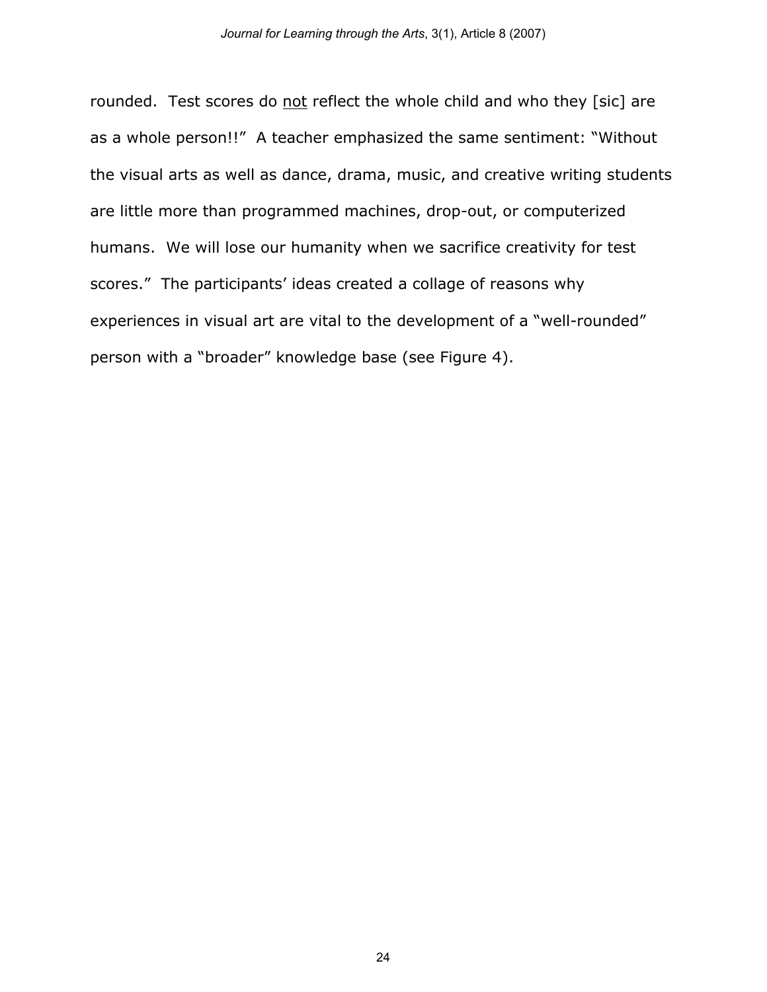rounded. Test scores do not reflect the whole child and who they [sic] are as a whole person!!" A teacher emphasized the same sentiment: "Without the visual arts as well as dance, drama, music, and creative writing students are little more than programmed machines, drop-out, or computerized humans. We will lose our humanity when we sacrifice creativity for test scores." The participants' ideas created a collage of reasons why experiences in visual art are vital to the development of a "well-rounded" person with a "broader" knowledge base (see Figure 4).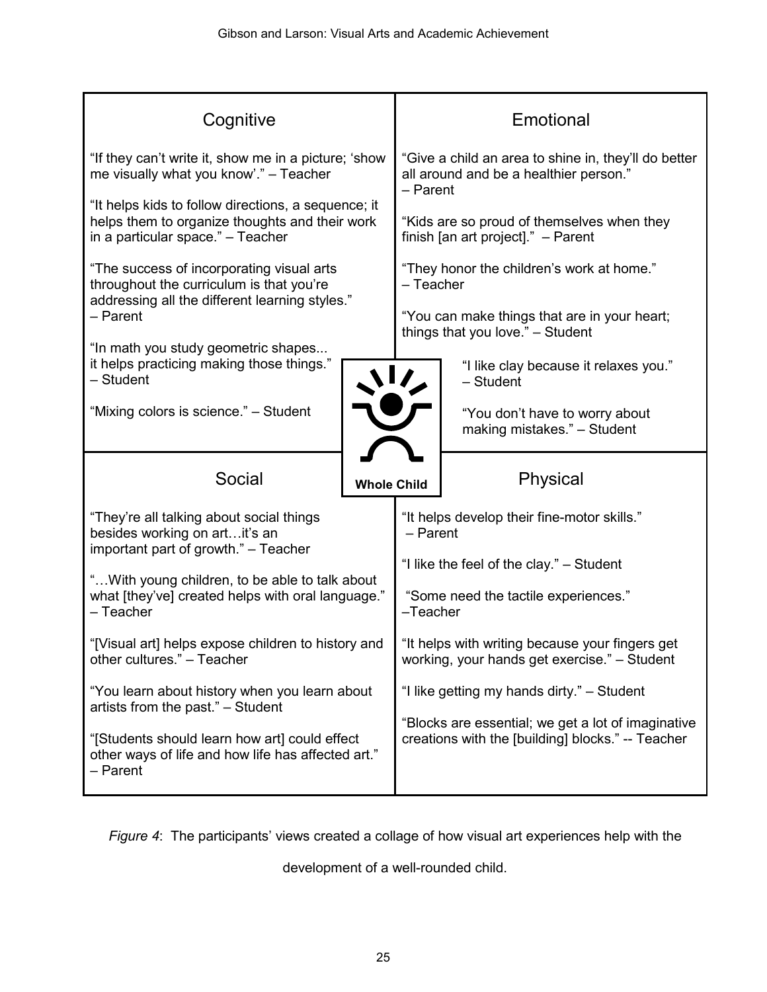| Cognitive                                                                                                                                            |                    |                                                                                                              | Emotional                                                                        |  |  |  |
|------------------------------------------------------------------------------------------------------------------------------------------------------|--------------------|--------------------------------------------------------------------------------------------------------------|----------------------------------------------------------------------------------|--|--|--|
| "If they can't write it, show me in a picture; 'show<br>me visually what you know'." - Teacher                                                       |                    | "Give a child an area to shine in, they'll do better<br>all around and be a healthier person."<br>$-$ Parent |                                                                                  |  |  |  |
| "It helps kids to follow directions, a sequence; it<br>helps them to organize thoughts and their work<br>in a particular space." - Teacher           |                    | "Kids are so proud of themselves when they<br>finish [an art project]." $-$ Parent                           |                                                                                  |  |  |  |
| "The success of incorporating visual arts<br>throughout the curriculum is that you're                                                                |                    | "They honor the children's work at home."<br>- Teacher                                                       |                                                                                  |  |  |  |
| addressing all the different learning styles."<br>$-$ Parent<br>"In math you study geometric shapes                                                  |                    |                                                                                                              | "You can make things that are in your heart;<br>things that you love." - Student |  |  |  |
| it helps practicing making those things."<br>- Student                                                                                               |                    |                                                                                                              | "I like clay because it relaxes you."<br>- Student                               |  |  |  |
| "Mixing colors is science." - Student                                                                                                                |                    |                                                                                                              | "You don't have to worry about<br>making mistakes." - Student                    |  |  |  |
| Social                                                                                                                                               | <b>Whole Child</b> |                                                                                                              | Physical                                                                         |  |  |  |
| "They're all talking about social things<br>besides working on artit's an                                                                            |                    | "It helps develop their fine-motor skills."<br>$-$ Parent                                                    |                                                                                  |  |  |  |
| important part of growth." - Teacher                                                                                                                 |                    | "I like the feel of the clay." - Student                                                                     |                                                                                  |  |  |  |
| " With young children, to be able to talk about<br>what [they've] created helps with oral language."<br>- Teacher                                    |                    | "Some need the tactile experiences."<br>$-Teacher$                                                           |                                                                                  |  |  |  |
| "[Visual art] helps expose children to history and<br>other cultures." - Teacher                                                                     |                    | "It helps with writing because your fingers get<br>working, your hands get exercise." - Student              |                                                                                  |  |  |  |
| "You learn about history when you learn about                                                                                                        |                    |                                                                                                              | "I like getting my hands dirty." - Student                                       |  |  |  |
| artists from the past." - Student<br>"[Students should learn how art] could effect<br>other ways of life and how life has affected art."<br>- Parent |                    | "Blocks are essential; we get a lot of imaginative<br>creations with the [building] blocks." -- Teacher      |                                                                                  |  |  |  |

*Figure 4*: The participants' views created a collage of how visual art experiences help with the

development of a well-rounded child.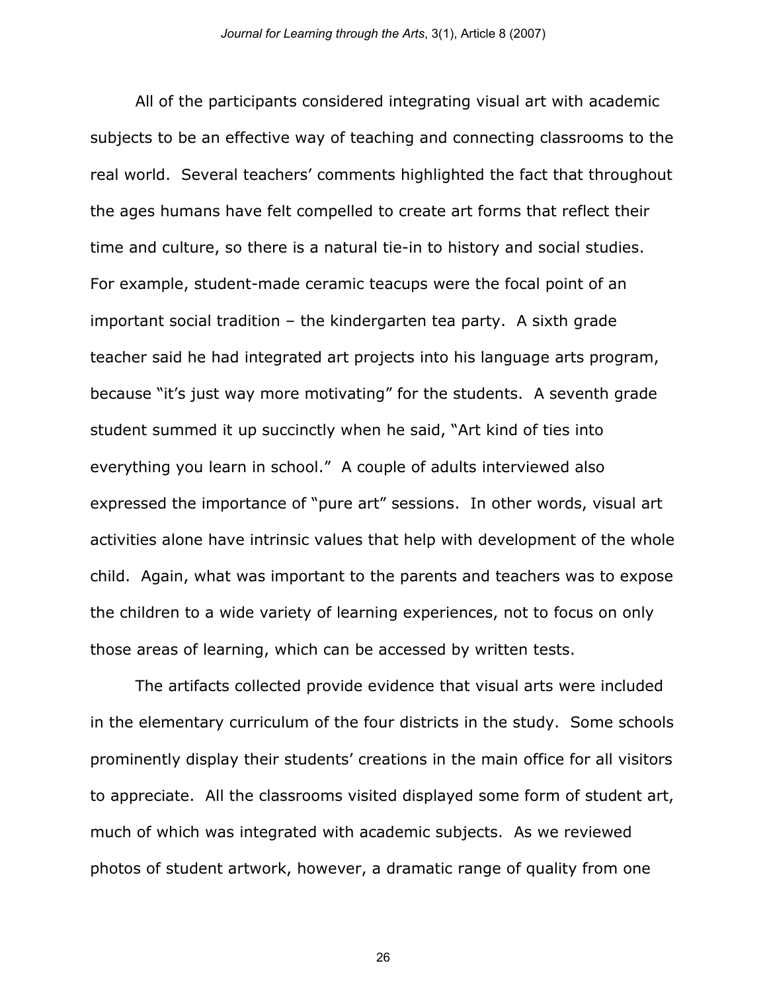All of the participants considered integrating visual art with academic subjects to be an effective way of teaching and connecting classrooms to the real world. Several teachers' comments highlighted the fact that throughout the ages humans have felt compelled to create art forms that reflect their time and culture, so there is a natural tie-in to history and social studies. For example, student-made ceramic teacups were the focal point of an important social tradition – the kindergarten tea party. A sixth grade teacher said he had integrated art projects into his language arts program, because "it's just way more motivating" for the students. A seventh grade student summed it up succinctly when he said, "Art kind of ties into everything you learn in school." A couple of adults interviewed also expressed the importance of "pure art" sessions. In other words, visual art activities alone have intrinsic values that help with development of the whole child. Again, what was important to the parents and teachers was to expose the children to a wide variety of learning experiences, not to focus on only those areas of learning, which can be accessed by written tests.

The artifacts collected provide evidence that visual arts were included in the elementary curriculum of the four districts in the study. Some schools prominently display their students' creations in the main office for all visitors to appreciate. All the classrooms visited displayed some form of student art, much of which was integrated with academic subjects. As we reviewed photos of student artwork, however, a dramatic range of quality from one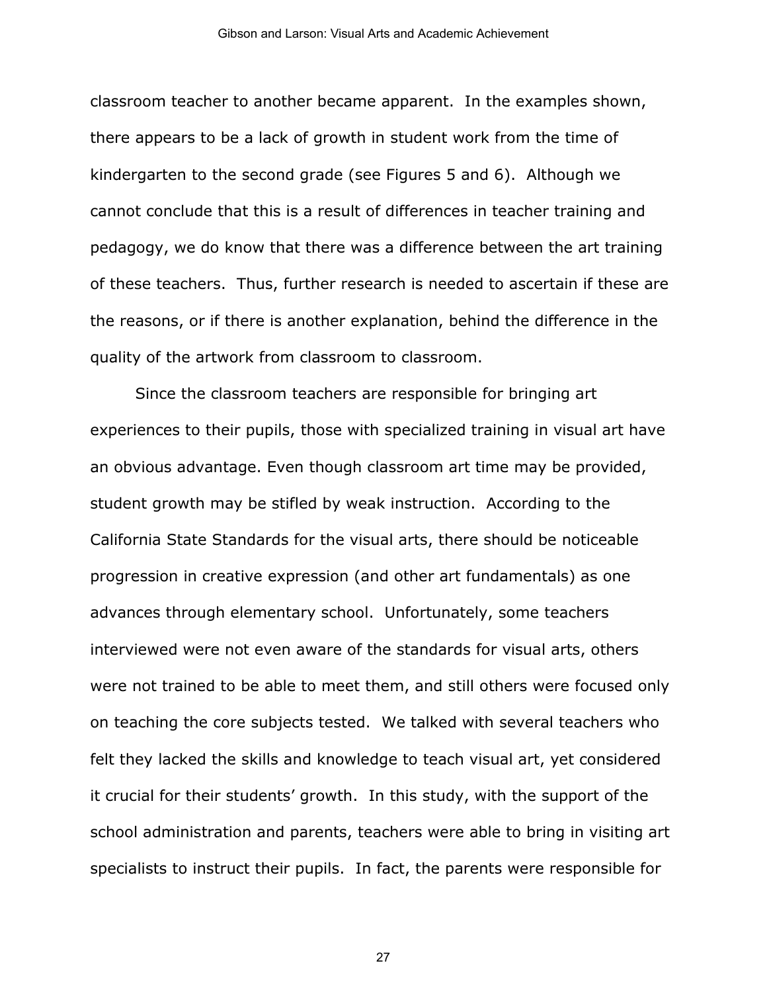classroom teacher to another became apparent. In the examples shown, there appears to be a lack of growth in student work from the time of kindergarten to the second grade (see Figures 5 and 6). Although we cannot conclude that this is a result of differences in teacher training and pedagogy, we do know that there was a difference between the art training of these teachers. Thus, further research is needed to ascertain if these are the reasons, or if there is another explanation, behind the difference in the quality of the artwork from classroom to classroom.

Since the classroom teachers are responsible for bringing art experiences to their pupils, those with specialized training in visual art have an obvious advantage. Even though classroom art time may be provided, student growth may be stifled by weak instruction. According to the California State Standards for the visual arts, there should be noticeable progression in creative expression (and other art fundamentals) as one advances through elementary school. Unfortunately, some teachers interviewed were not even aware of the standards for visual arts, others were not trained to be able to meet them, and still others were focused only on teaching the core subjects tested. We talked with several teachers who felt they lacked the skills and knowledge to teach visual art, yet considered it crucial for their students' growth. In this study, with the support of the school administration and parents, teachers were able to bring in visiting art specialists to instruct their pupils. In fact, the parents were responsible for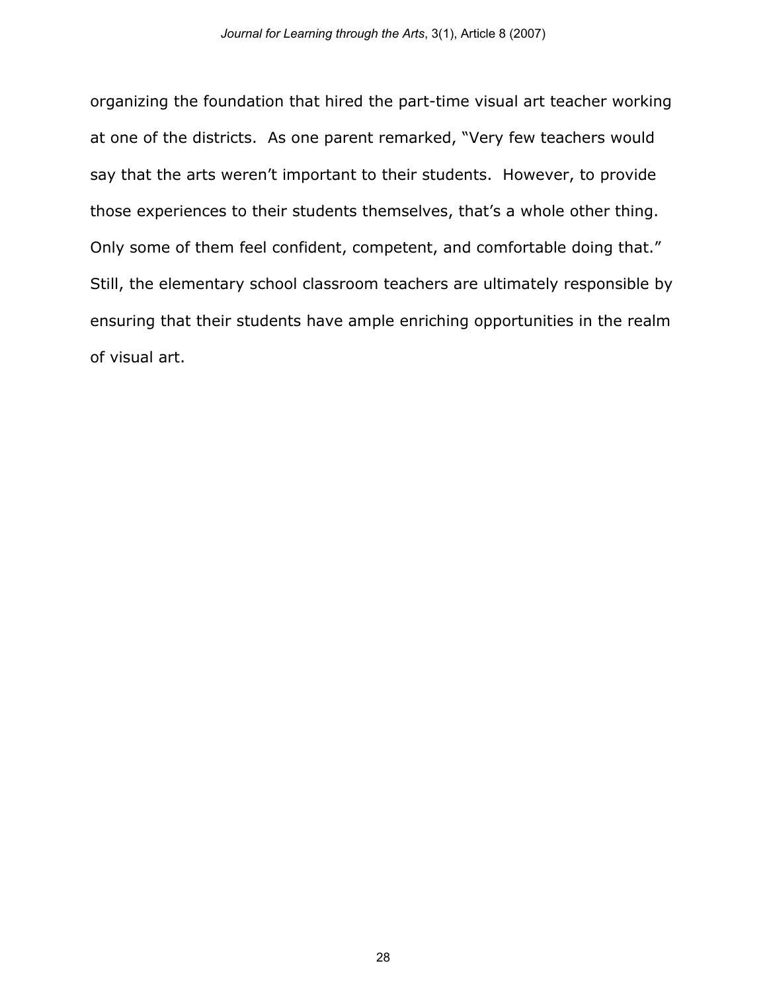organizing the foundation that hired the part-time visual art teacher working at one of the districts. As one parent remarked, "Very few teachers would say that the arts weren't important to their students. However, to provide those experiences to their students themselves, that's a whole other thing. Only some of them feel confident, competent, and comfortable doing that." Still, the elementary school classroom teachers are ultimately responsible by ensuring that their students have ample enriching opportunities in the realm of visual art.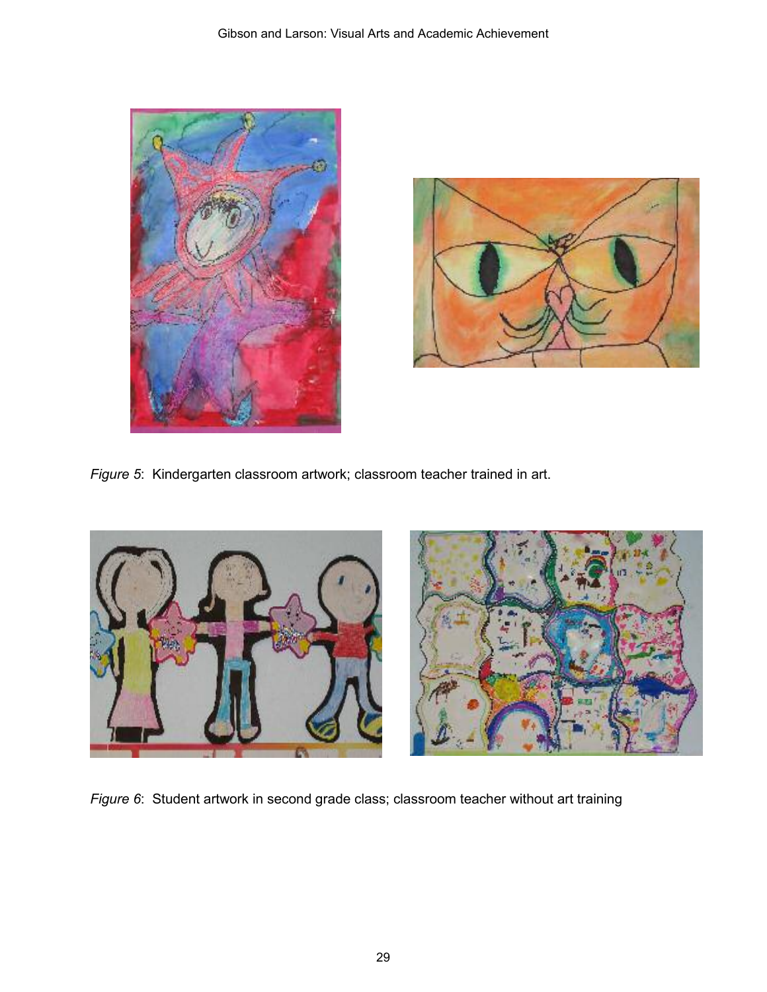



*Figure 5*: Kindergarten classroom artwork; classroom teacher trained in art.





*Figure 6*: Student artwork in second grade class; classroom teacher without art training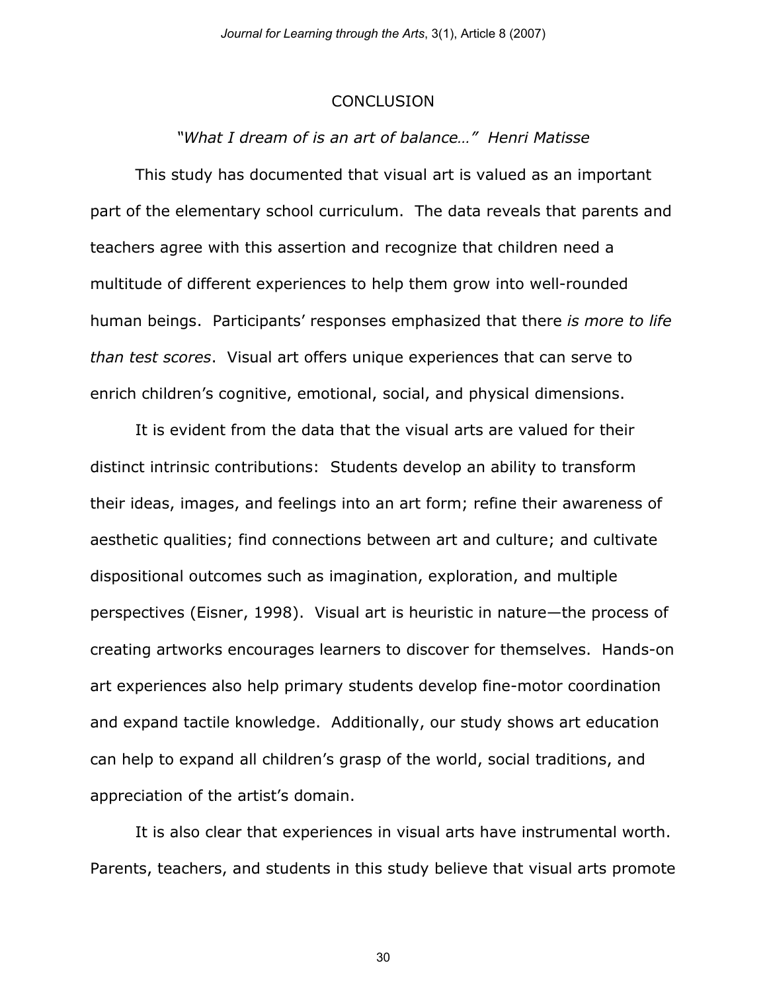#### **CONCLUSION**

## *"What I dream of is an art of balance…" Henri Matisse*

This study has documented that visual art is valued as an important part of the elementary school curriculum. The data reveals that parents and teachers agree with this assertion and recognize that children need a multitude of different experiences to help them grow into well-rounded human beings. Participants' responses emphasized that there *is more to life than test scores*. Visual art offers unique experiences that can serve to enrich children's cognitive, emotional, social, and physical dimensions.

It is evident from the data that the visual arts are valued for their distinct intrinsic contributions: Students develop an ability to transform their ideas, images, and feelings into an art form; refine their awareness of aesthetic qualities; find connections between art and culture; and cultivate dispositional outcomes such as imagination, exploration, and multiple perspectives (Eisner, 1998). Visual art is heuristic in nature—the process of creating artworks encourages learners to discover for themselves. Hands-on art experiences also help primary students develop fine-motor coordination and expand tactile knowledge. Additionally, our study shows art education can help to expand all children's grasp of the world, social traditions, and appreciation of the artist's domain.

It is also clear that experiences in visual arts have instrumental worth. Parents, teachers, and students in this study believe that visual arts promote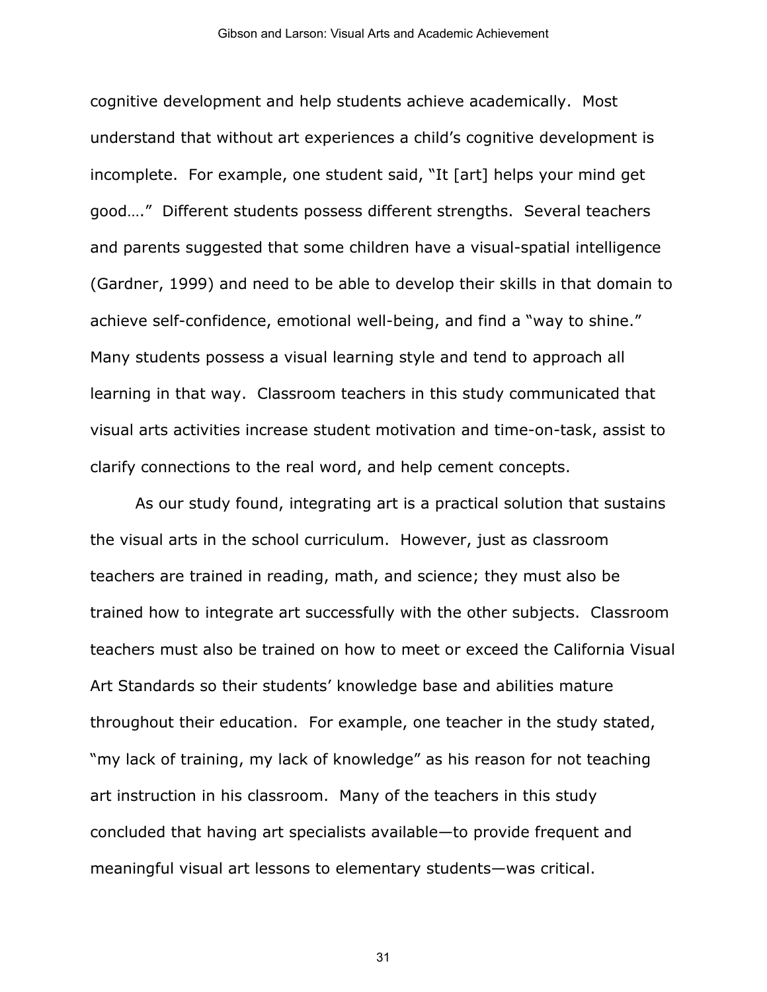cognitive development and help students achieve academically. Most understand that without art experiences a child's cognitive development is incomplete. For example, one student said, "It [art] helps your mind get good…." Different students possess different strengths. Several teachers and parents suggested that some children have a visual-spatial intelligence (Gardner, 1999) and need to be able to develop their skills in that domain to achieve self-confidence, emotional well-being, and find a "way to shine." Many students possess a visual learning style and tend to approach all learning in that way. Classroom teachers in this study communicated that visual arts activities increase student motivation and time-on-task, assist to clarify connections to the real word, and help cement concepts.

As our study found, integrating art is a practical solution that sustains the visual arts in the school curriculum. However, just as classroom teachers are trained in reading, math, and science; they must also be trained how to integrate art successfully with the other subjects. Classroom teachers must also be trained on how to meet or exceed the California Visual Art Standards so their students' knowledge base and abilities mature throughout their education. For example, one teacher in the study stated, "my lack of training, my lack of knowledge" as his reason for not teaching art instruction in his classroom. Many of the teachers in this study concluded that having art specialists available—to provide frequent and meaningful visual art lessons to elementary students—was critical.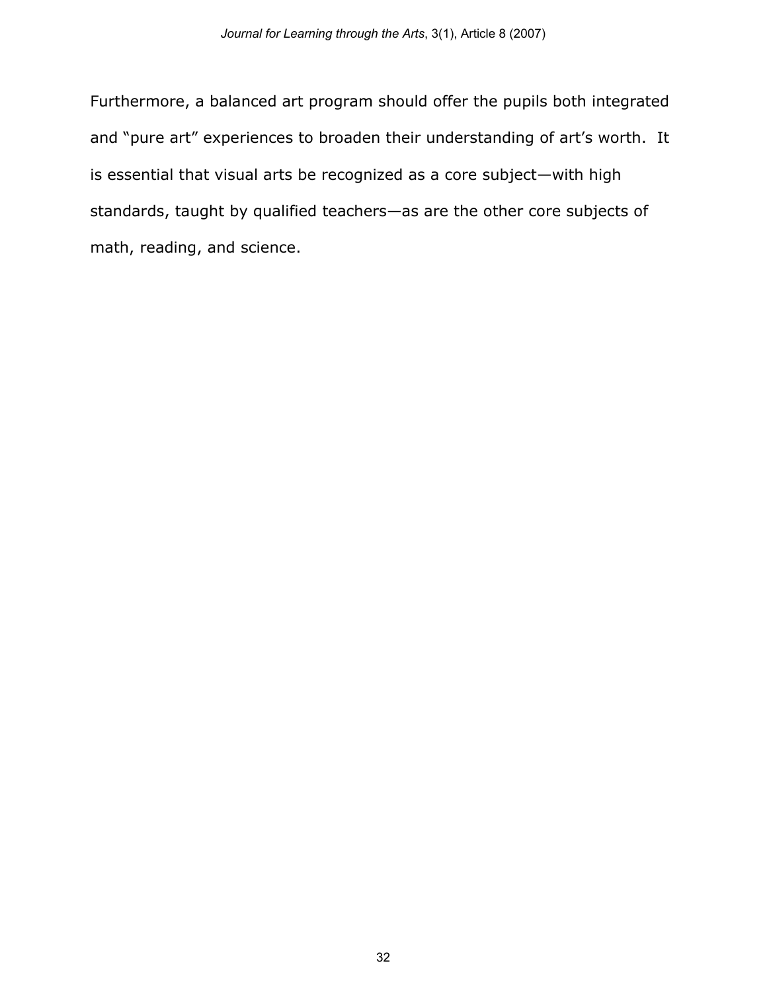Furthermore, a balanced art program should offer the pupils both integrated and "pure art" experiences to broaden their understanding of art's worth. It is essential that visual arts be recognized as a core subject—with high standards, taught by qualified teachers—as are the other core subjects of math, reading, and science.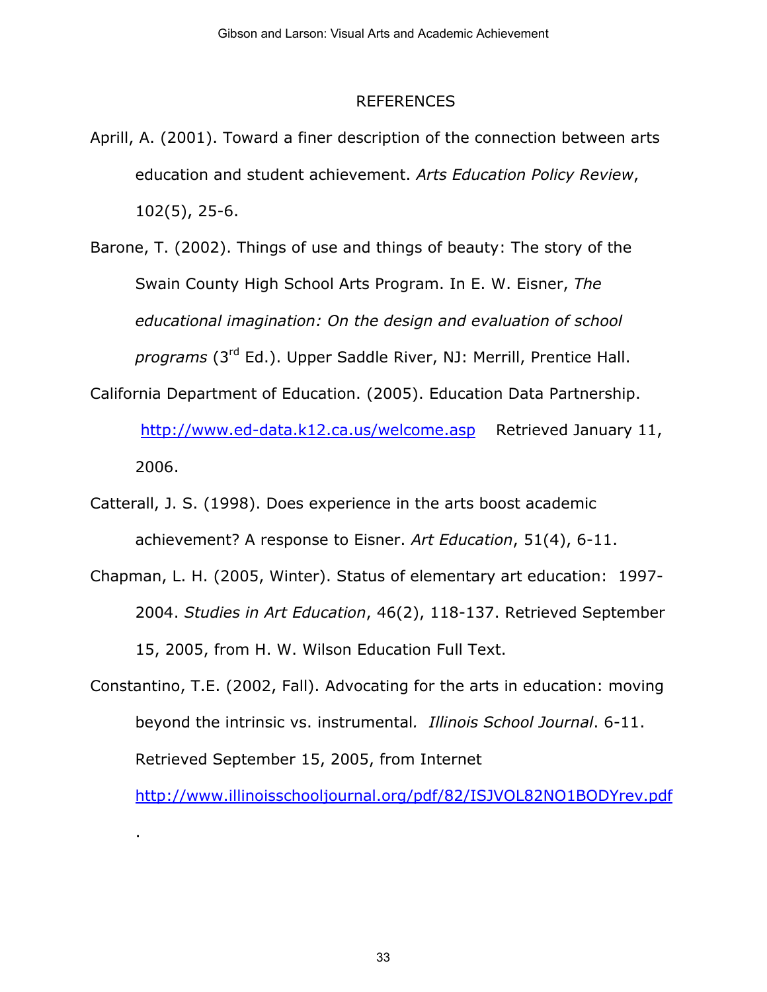#### REFERENCES

Aprill, A. (2001). Toward a finer description of the connection between arts education and student achievement. *Arts Education Policy Review*, 102(5), 25-6.

Barone, T. (2002). Things of use and things of beauty: The story of the Swain County High School Arts Program. In E. W. Eisner, *The educational imagination: On the design and evaluation of school programs* (3rd Ed.). Upper Saddle River, NJ: Merrill, Prentice Hall.

California Department of Education. (2005). Education Data Partnership.

http://www.ed-data.k12.ca.us/welcome.asp Retrieved January 11, 2006.

Catterall, J. S. (1998). Does experience in the arts boost academic achievement? A response to Eisner. *Art Education*, 51(4), 6-11.

- Chapman, L. H. (2005, Winter). Status of elementary art education: 1997- 2004. *Studies in Art Education*, 46(2), 118-137. Retrieved September 15, 2005, from H. W. Wilson Education Full Text.
- Constantino, T.E. (2002, Fall). Advocating for the arts in education: moving beyond the intrinsic vs. instrumental*. Illinois School Journal*. 6-11. Retrieved September 15, 2005, from Internet

.

http://www.illinoisschooljournal.org/pdf/82/ISJVOL82NO1BODYrev.pdf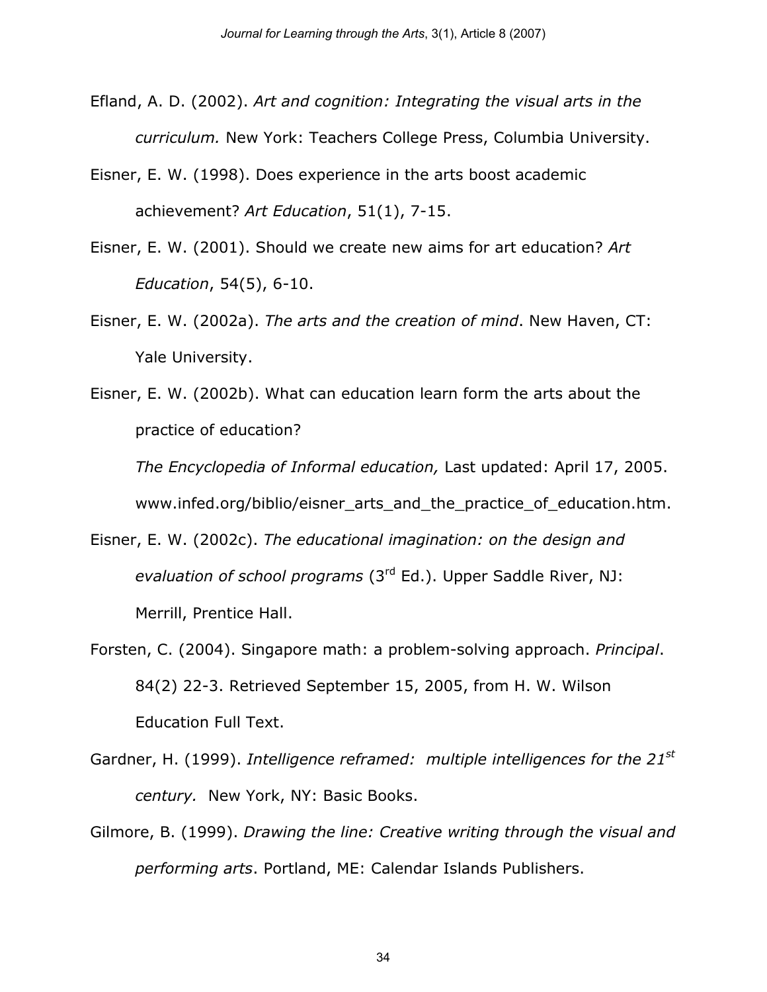- Efland, A. D. (2002). *Art and cognition: Integrating the visual arts in the curriculum.* New York: Teachers College Press, Columbia University.
- Eisner, E. W. (1998). Does experience in the arts boost academic achievement? *Art Education*, 51(1), 7-15.
- Eisner, E. W. (2001). Should we create new aims for art education? *Art Education*, 54(5), 6-10.
- Eisner, E. W. (2002a). *The arts and the creation of mind*. New Haven, CT: Yale University.
- Eisner, E. W. (2002b). What can education learn form the arts about the practice of education?

*The Encyclopedia of Informal education,* Last updated: April 17, 2005. www.infed.org/biblio/eisner\_arts\_and\_the\_practice\_of\_education.htm.

- Eisner, E. W. (2002c). *The educational imagination: on the design and evaluation of school programs* (3rd Ed.). Upper Saddle River, NJ: Merrill, Prentice Hall.
- Forsten, C. (2004). Singapore math: a problem-solving approach. *Principal*. 84(2) 22-3. Retrieved September 15, 2005, from H. W. Wilson Education Full Text.
- Gardner, H. (1999). *Intelligence reframed: multiple intelligences for the 21st century.* New York, NY: Basic Books.
- Gilmore, B. (1999). *Drawing the line: Creative writing through the visual and performing arts*. Portland, ME: Calendar Islands Publishers.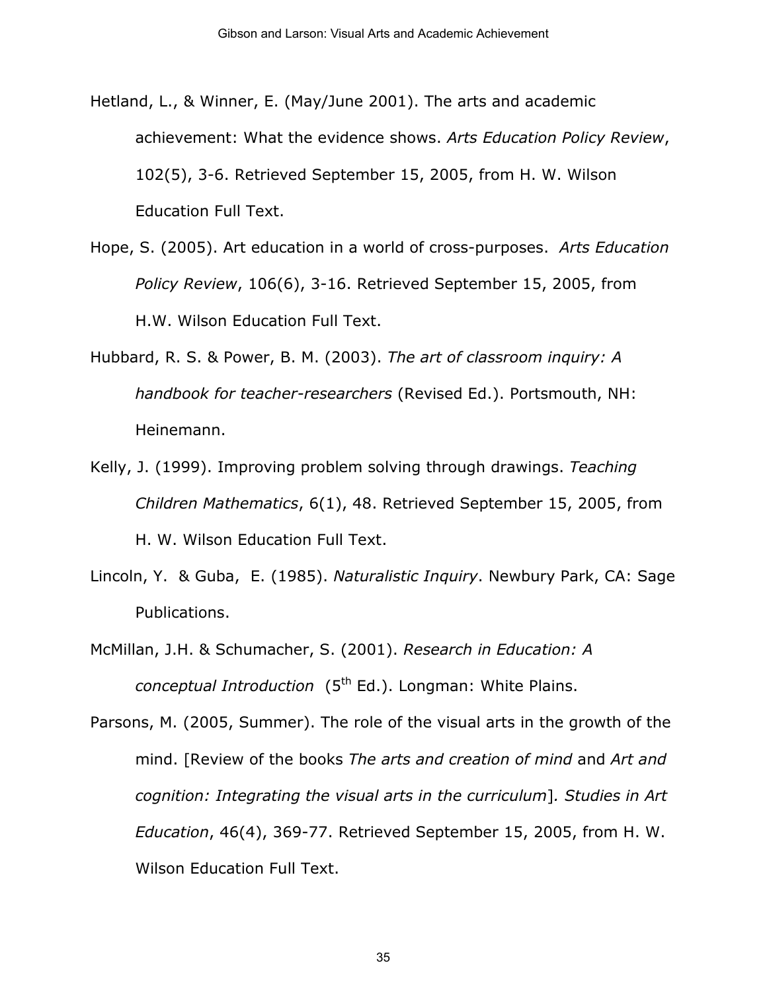- Hetland, L., & Winner, E. (May/June 2001). The arts and academic achievement: What the evidence shows. *Arts Education Policy Review*, 102(5), 3-6. Retrieved September 15, 2005, from H. W. Wilson Education Full Text.
- Hope, S. (2005). Art education in a world of cross-purposes. *Arts Education Policy Review*, 106(6), 3-16. Retrieved September 15, 2005, from H.W. Wilson Education Full Text.
- Hubbard, R. S. & Power, B. M. (2003). *The art of classroom inquiry: A handbook for teacher-researchers* (Revised Ed.). Portsmouth, NH: Heinemann.
- Kelly, J. (1999). Improving problem solving through drawings. *Teaching Children Mathematics*, 6(1), 48. Retrieved September 15, 2005, from H. W. Wilson Education Full Text.
- Lincoln, Y. & Guba, E. (1985). *Naturalistic Inquiry*. Newbury Park, CA: Sage Publications.
- McMillan, J.H. & Schumacher, S. (2001). *Research in Education: A conceptual Introduction* (5<sup>th</sup> Ed.). Longman: White Plains.
- Parsons, M. (2005, Summer). The role of the visual arts in the growth of the mind. [Review of the books *The arts and creation of mind* and *Art and cognition: Integrating the visual arts in the curriculum*]*. Studies in Art Education*, 46(4), 369-77. Retrieved September 15, 2005, from H. W. Wilson Education Full Text.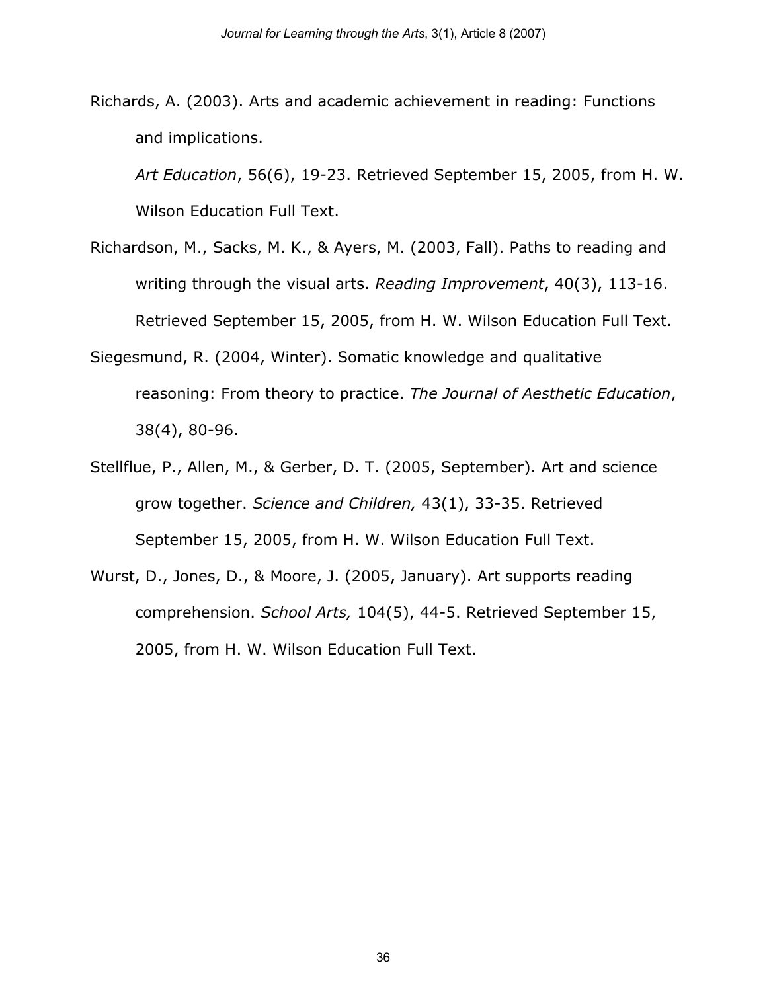Richards, A. (2003). Arts and academic achievement in reading: Functions and implications.

*Art Education*, 56(6), 19-23. Retrieved September 15, 2005, from H. W. Wilson Education Full Text.

- Richardson, M., Sacks, M. K., & Ayers, M. (2003, Fall). Paths to reading and writing through the visual arts. *Reading Improvement*, 40(3), 113-16. Retrieved September 15, 2005, from H. W. Wilson Education Full Text.
- Siegesmund, R. (2004, Winter). Somatic knowledge and qualitative reasoning: From theory to practice. *The Journal of Aesthetic Education*, 38(4), 80-96.
- Stellflue, P., Allen, M., & Gerber, D. T. (2005, September). Art and science grow together. *Science and Children,* 43(1), 33-35. Retrieved September 15, 2005, from H. W. Wilson Education Full Text.
- Wurst, D., Jones, D., & Moore, J. (2005, January). Art supports reading comprehension. *School Arts,* 104(5), 44-5. Retrieved September 15, 2005, from H. W. Wilson Education Full Text.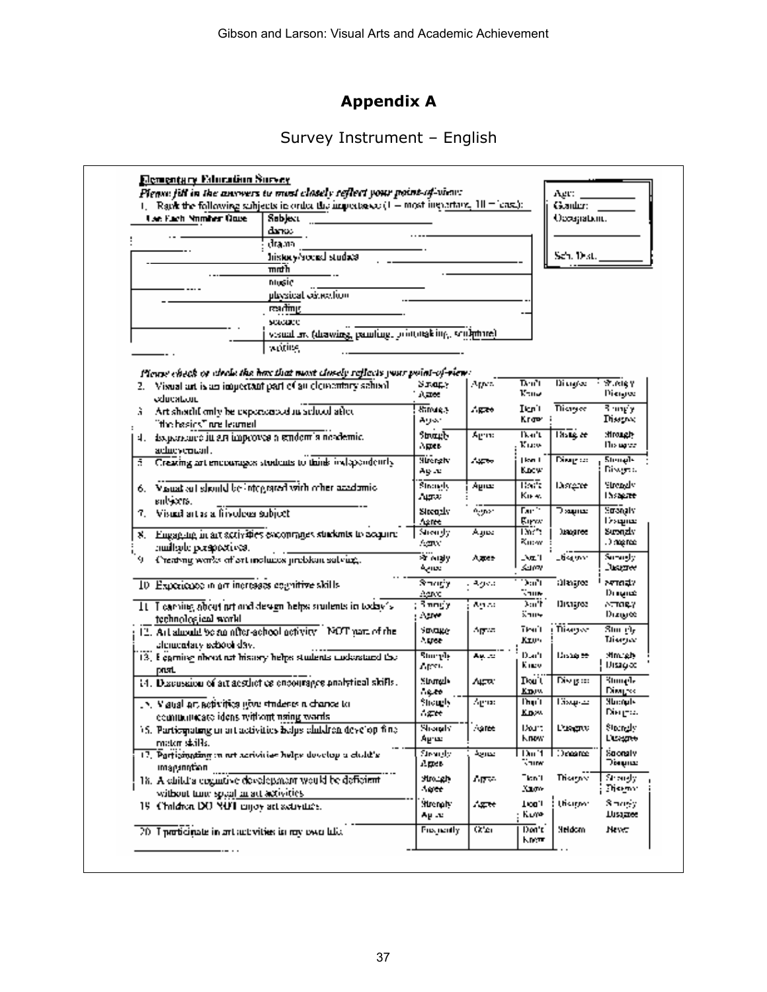# **Appendix A**

# Survey Instrument – English

| <b>Lan Fach Nomber Quite</b>                        | Raw the following subjects in order the impertance $(1 - \text{most important}, 10 - \text{axis})$ :<br>Sabject                               |                     |        |                    | Gearder: I<br>Occupation. |                      |
|-----------------------------------------------------|-----------------------------------------------------------------------------------------------------------------------------------------------|---------------------|--------|--------------------|---------------------------|----------------------|
|                                                     | danas                                                                                                                                         |                     |        |                    |                           |                      |
|                                                     | drama                                                                                                                                         |                     |        |                    |                           |                      |
|                                                     | history/social stude@                                                                                                                         |                     |        |                    | Sch. Dist.                |                      |
|                                                     | mndh                                                                                                                                          |                     |        |                    |                           |                      |
|                                                     | ntusic                                                                                                                                        |                     |        |                    |                           |                      |
|                                                     | physical extredion                                                                                                                            |                     |        |                    |                           |                      |
|                                                     | एअतींगार्                                                                                                                                     |                     |        |                    |                           |                      |
|                                                     | scacare                                                                                                                                       |                     |        |                    |                           |                      |
|                                                     | visual in (drawing, pamling, prototaking, sculpture)                                                                                          |                     |        |                    |                           |                      |
|                                                     |                                                                                                                                               |                     |        |                    |                           |                      |
|                                                     | working                                                                                                                                       |                     |        |                    |                           |                      |
|                                                     |                                                                                                                                               |                     |        |                    |                           |                      |
|                                                     | Please check or check the has that most closely reflects your point-of-view: $\,$<br>Visual art is an impertant part of an elementary school. | Уладу               | Apes   | Deu <sup>n</sup> t | Diagoe                    | <b>Extragal</b>      |
| 2. .                                                |                                                                                                                                               | 八百姓                 |        | Kanz               |                           | Diengee              |
| education.                                          |                                                                                                                                               | Strong, 3           | Agas   | Ikrit              | <b>Tikayee</b>            | 3 my'y               |
| Art should only be expended of achool after<br>ã.   |                                                                                                                                               | دەرىھ               |        | Kraw               |                           | Disagnoc             |
| "the basics" are learned.                           |                                                                                                                                               | ՑԽապի               | Տբոս   | lka't              | $\overline{\text{BSE}}$   | <b>Mrough</b>        |
| 비.                                                  | амративно ін ал інкроуса а влідот з поздетіс.                                                                                                 | Agres               |        | Kusw               |                           | Ho upor              |
| achievement.                                        | Creating art encourages students to think inclapendently                                                                                      | <b>Hirerichy</b>    | ستعيد  | kwili              | Ding oo                   | Stenals              |
| ÷.                                                  |                                                                                                                                               | Ay .u               |        | Kacw               |                           | Diwge a              |
|                                                     | 6. Vauat all should be integrated with other academic.                                                                                        | Strangly            | Agnes  | तहरू               | Distante                  | Strendy              |
|                                                     |                                                                                                                                               | August 1            |        | Kii-ki             |                           | Insapre              |
| salsiens.<br>Visual art as a frivoleus subject      |                                                                                                                                               | virgonis            | Agnes  | Fan <sup>os</sup>  | ிஷாம                      | Smanaty              |
|                                                     |                                                                                                                                               | Agree               |        | Euros              |                           | يعابهما              |
| Ж.,                                                 | Engaging in art activities excommnes students to exquire                                                                                      | Shengly             | Aajoc  | Dar't              | <b>Juangree</b>           | Suronziv             |
| multade perspectives.                               |                                                                                                                                               | Agnor.              |        | Ku:w               |                           | .) magnae            |
| 9                                                   | Creating works of art includes problem salvug,                                                                                                | ≫r nialy            | Ager   | - NE 1             | _tietynn                  | Survusly,            |
|                                                     |                                                                                                                                               | عصابية              |        | sam                |                           | Juanee               |
| 10 Experience in art increases equalitive skills.   |                                                                                                                                               | Smorty              | معوه   | Dan't              | almayor                   | ਆਪੜਾ                 |
|                                                     |                                                                                                                                               | Agree               |        | Vane               |                           | Dragoz               |
|                                                     | It. I carries about nrt and design helps students in today's                                                                                  | Smogy               | Agusti | Tin C<br>‱m⊶       | Distages                  | ATTORY.<br>Dizi⊌∝    |
| technological world                                 |                                                                                                                                               | Aure :              |        |                    |                           |                      |
|                                                     | 12. Art almodd be an after-achool netwity. NOT part of the                                                                                    | <b>Strage</b>       | Aprov  | Trail<br>Krow      | i Tiisayse                | Stor e'u<br>Tiisagee |
| alcrucatary exhool day.                             |                                                                                                                                               | Agree.              |        |                    |                           |                      |
|                                                     | 13. Equining about not history helps students understand the                                                                                  | հաւրի<br>Apres.     | Ay. .u | Dach<br>Kacy       | <del>جو</del> ھذدينا      | Mm ah.<br>Ursag ad   |
| past.                                               |                                                                                                                                               |                     |        |                    |                           |                      |
|                                                     | 14. Discussion of art acsthot celencourages analytical skifts.                                                                                | Strongly<br>$-0.00$ | A4790  | Dou`ti<br>Know.    | Disagree                  | Յնազմե<br>Diwysk     |
| .N. Viaual art activities gove students a chance to |                                                                                                                                               | Shough,             | Agua   | l'huit             | Eisepar                   | Mbmark               |
| communicate ideas without using words.              |                                                                                                                                               | A##                 |        | Kow                |                           | Вінцта.              |
|                                                     | 15. Participating in art activities helps children develop fine                                                                               | <b>Shorady</b>      | Agree  | Dairt              | <b>Distance</b>           | Storady              |
| mator skills.                                       |                                                                                                                                               | Agres               |        | <b>Know</b>        |                           | Lissano              |
|                                                     | 17. Particination in net acrivities helps develop a child's                                                                                   | Strende             | عدرجة  | $1\text{km}$ '1    | Dogance                   | Soonaly              |
| កេត្តក្រុមការណ៍                                     |                                                                                                                                               | Арев                |        | ∜anw               |                           | ின்றமை               |
|                                                     | 18. A child a cognitive development would be deficient                                                                                        | بالهندمالا          | Aprov  | Ticn'i             | Trisagner                 | Shangly              |
| without time speal an act activities.               |                                                                                                                                               | Ager                |        | Xam-               |                           | Theywo               |
| 19 Children DO NOT mijoy art activities.            |                                                                                                                                               | Strengty:           | يعتهاء | Tion.i             | theiran                   | Smogr                |
|                                                     |                                                                                                                                               | Ay ay               |        | Kure               |                           | Disignee             |
| 20. I proticinate in art activities in my own lake. |                                                                                                                                               | Frequently          | OC'es  | Don't              | <b>Meldom</b>             | Never                |
|                                                     |                                                                                                                                               |                     |        |                    |                           |                      |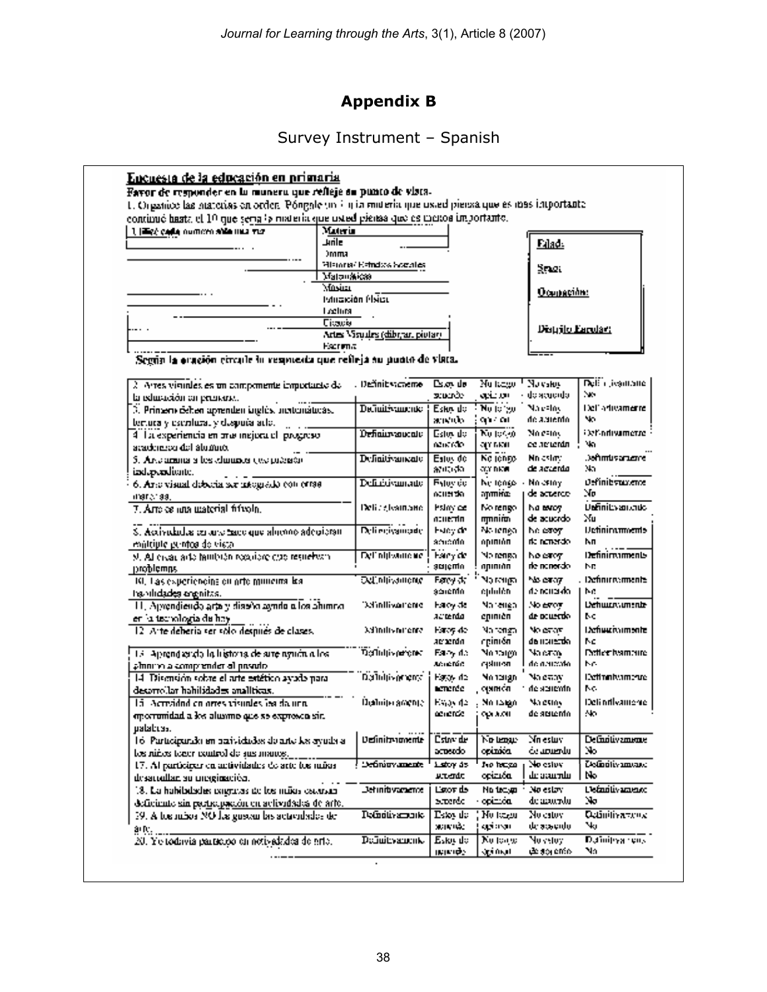# **Appendix B**

# Survey Instrument – Spanish

| continuó hasta el 10 que seria la materia que usted piensa que es meitos importante. |                  |                                    |                              |                                          |                             |                                     |
|--------------------------------------------------------------------------------------|------------------|------------------------------------|------------------------------|------------------------------------------|-----------------------------|-------------------------------------|
| 1. High cada numero alta una via                                                     | Materia          |                                    |                              |                                          |                             |                                     |
|                                                                                      | alint            |                                    |                              |                                          | Edad:                       |                                     |
|                                                                                      | <b>Jmma</b>      |                                    |                              |                                          |                             |                                     |
|                                                                                      | Matonakkas       | Filamen' Kamdos Socoles.           |                              |                                          | Smal                        |                                     |
|                                                                                      | Masim            |                                    |                              |                                          |                             |                                     |
|                                                                                      |                  | <b>Istrición Place</b>             |                              |                                          | Ocupación:                  |                                     |
|                                                                                      | Lectural         |                                    |                              |                                          |                             |                                     |
|                                                                                      | <b>Citatile</b>  |                                    |                              |                                          |                             |                                     |
|                                                                                      |                  | Artes Visuales (dibr, ar. piutar). |                              |                                          | Distrito Earolant           |                                     |
|                                                                                      | <b>Facturing</b> |                                    |                              |                                          |                             |                                     |
| Según la oraçión circule in respuesta que refleja su punto de viata.                 |                  |                                    |                              |                                          |                             |                                     |
|                                                                                      |                  |                                    |                              |                                          |                             |                                     |
| $\lambda$ . Arres visibles es un componente importante de                            |                  | . Definit victieme                 | Down de                      | Nu tanggi <sup>1</sup> Nu yakiy          |                             | Dell'i Jeantaire                    |
| la educación en prenancia.                                                           |                  |                                    | stuario:                     | asio ani                                 | do acuerdo i                | No.                                 |
| 3. Prinsens deben aprenden lagdés, actionáticas.                                     |                  | <b>Definitivamente</b>             | Eska de                      | $\overline{\mathbf{N}\mathbf{u}}$ is the | Marsloy                     | Dell'artivamente.                   |
| temora y escritural y dispuís acto.                                                  |                  |                                    | anenb-                       | 907 O.L                                  | de acuento.                 | No.                                 |
| 4 La experiencia en mai inejuda el progreso                                          |                  | D <del>efiaire a</del> ucato i     | Estovido                     | No token                                 | No catos                    | <b>Elef-ndivamente</b>              |
| academico del alumno.                                                                |                  |                                    | nancrofo-                    | an raan                                  | ce neverdn                  | Na.                                 |
| 5. Arte arama a les channes que presson                                              |                  | <b>Definitivamente</b>             | Estoy de                     | Ka jango -<br>atar maan i                | Nn estat:<br>de accento     | Jaftmusarizme.<br>м.                |
| iad.p.adiunte.                                                                       |                  |                                    | 縮眼病に                         |                                          |                             |                                     |
| 6. Area visual debecia sor integrado con criso                                       |                  | Definisiyamado                     | <b>Fylovide</b><br>acuerda i | Ne tengo i -<br>agamidae                 | No estoy i<br>de actierde : | <i><b>Oefinibytuvente</b></i><br>No |
| (1913) 98.                                                                           |                  |                                    |                              |                                          |                             | <b>Unfinitivationals</b>            |
| 7. Are es ana material frívola.                                                      |                  | Delice Joannano II                 | Fsimide i<br>acuerta.        | No rengo<br>mmnin                        | Na teach<br>de acucrdo -    | Nш                                  |
| S. Accividades en uno mor que alumno adecioran-                                      |                  | Deli regissionade                  | Fsieg de                     | No tenea i                               | he esteyn                   | <b>Defininaments</b>                |
| emittiple puntos de vista.                                                           |                  |                                    | amordo i                     | opinión                                  | de nemerato.                | ħп                                  |
| 9. Al civat acto huntatan requiere que resueheza-                                    |                  | <b>Del' nitivamene</b>             | Hary de                      | No renso i                               | he early                    | Definimaments                       |
| problemas                                                                            |                  |                                    | gtalčuju                     | apınınn                                  | rie nariordo.               | Nг                                  |
| 10. Las experiencina en arte muneira lea.                                            |                  | <b>Octobrigations</b>              | <b>Facy of</b>               | agina cM                                 | his exaz.                   | Definitionments                     |
| twolldades orgaitas.                                                                 |                  |                                    | a∆ucMa                       | ephilén                                  | de noueido -                | NG.                                 |
| 11. Aprendiendo arte y diseño agrido o los ahimno.                                   |                  | Definitivamente                    | Førby de                     | Narenea.                                 | No estoy.                   | Dehuurnumente                       |
| en la tecnologia de hay                                                              |                  |                                    | acterda                      | epinièn                                  | de ocuerdo.                 | MC.                                 |
| 12. Arte debería ser sólo después de clases.                                         |                  | kd'indivnirente i                  | Haroy de                     | Na tengah                                | No estam                    | Definitionments                     |
|                                                                                      |                  |                                    | amman                        | opinión,                                 | da utarezdo.                | No                                  |
| 13. Aprendazio la listoria de site nyuón a los                                       |                  | Definitivements                    | Fairly de                    | No taigh.                                | Na eray<br>obecurso ob      | <b>Deflex hambite</b><br>NG.        |
| plinning a comprender al proudo-                                                     |                  |                                    | Animatóra.                   | epluten.                                 |                             |                                     |
| 14 Disensión sobre el arte estético ayudo para                                       |                  | Daluhiyarent                       | Fator de<br>acrerde          | No tergo<br>quman                        | Na estav<br>de seucrito.    | Definationments<br>NG.              |
| decorrollar habilidades analíticas.<br>15. Actualnd on orges visuales les da una     |                  |                                    |                              |                                          |                             | Deli orthvamente                    |
|                                                                                      |                  | Üçülmişe ameni el                  | Espeda<br>acuende i          | No targo<br>opuvori.                     | Malestos<br>de settento.    | No.                                 |
| oportunidad a los alusimo que se expresco sin.<br>ualabuss.                          |                  |                                    |                              |                                          |                             |                                     |
| 16. Participando en parividados do arto los syuda a                                  |                  | Definitramente                     | Cstre de                     | No tengo                                 | Nn estuv                    | Definitivamente                     |
| los niños tener control de sus maios.                                                |                  |                                    | acteado                      | opinića                                  | اللحسماءة                   | No.                                 |
| 17. Al participar en actividades de arte los mássi-                                  |                  | Definitry ments                    | Lettry as                    | Joe houses                               | No estov                    | Zednotivamano                       |
| desarrollan su meginación.                                                           |                  |                                    | atendo                       | ορίπιδα,                                 | ա ուղա                      | No                                  |
| 18. La habitatades cogravas de los mãos cataram                                      |                  | <b>Definitivamente</b>             | Listor de                    | No tease                                 | No estay.                   | L'efnolivament                      |
| deficiente sin participación en actividades de arte.                                 |                  |                                    | screede                      | opimón                                   | de arourolu-                | No.                                 |
| 39. A tos másos NO los guerra las actividades de                                     |                  | Pofinitivamento i                  | Esko de                      | No teasu                                 | No estovi                   | <b>Quintivarious</b>                |
|                                                                                      |                  |                                    | actività:                    | api avoni                                | de sesento.                 | Чu                                  |
| 20. Yo todavia participo en notivalidos de erto.                                     |                  | радануацсты                        | Esko de                      | No tongo                                 | Noveloy                     | Dainitra rens                       |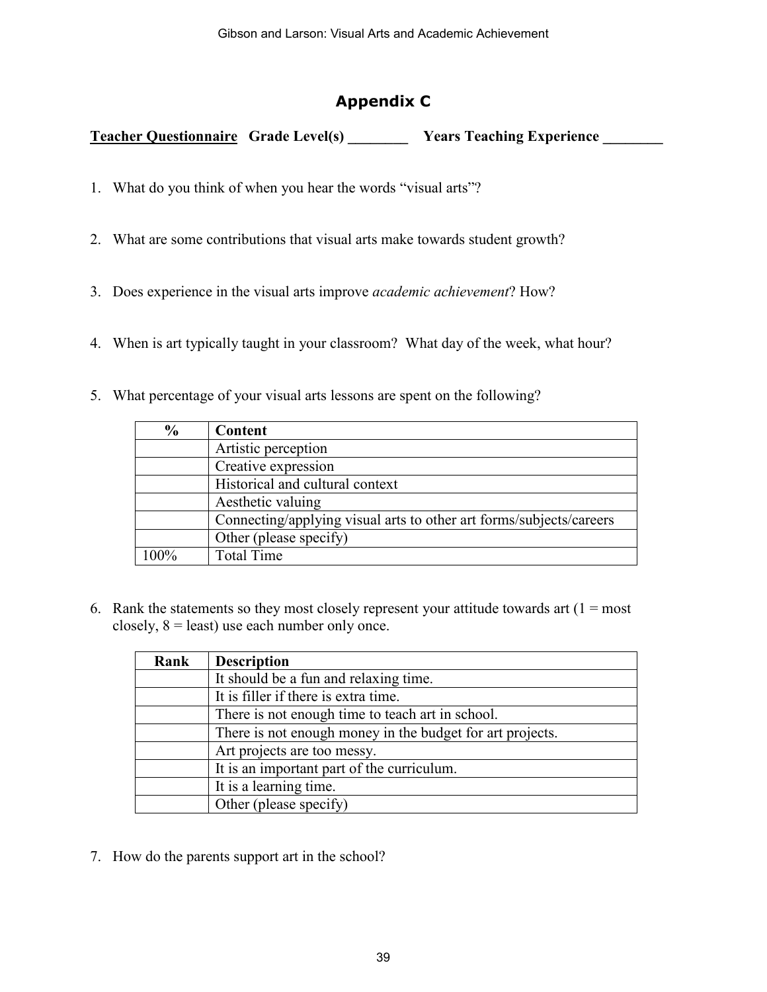# **Appendix C**

**Teacher Questionnaire** Grade Level(s) **Sears Teaching Experience Sears Years Years Teaching Experience** 

- 1. What do you think of when you hear the words "visual arts"?
- 2. What are some contributions that visual arts make towards student growth?
- 3. Does experience in the visual arts improve *academic achievement*? How?
- 4. When is art typically taught in your classroom? What day of the week, what hour?
- 5. What percentage of your visual arts lessons are spent on the following?

| $\frac{6}{9}$ | Content                                                             |
|---------------|---------------------------------------------------------------------|
|               | Artistic perception                                                 |
|               | Creative expression                                                 |
|               | Historical and cultural context                                     |
|               | Aesthetic valuing                                                   |
|               | Connecting/applying visual arts to other art forms/subjects/careers |
|               | Other (please specify)                                              |
| 100%          | <b>Total Time</b>                                                   |

6. Rank the statements so they most closely represent your attitude towards art  $(1 = most$ closely,  $8 =$  least) use each number only once.

| Rank | <b>Description</b>                                        |
|------|-----------------------------------------------------------|
|      | It should be a fun and relaxing time.                     |
|      | It is filler if there is extra time.                      |
|      | There is not enough time to teach art in school.          |
|      | There is not enough money in the budget for art projects. |
|      | Art projects are too messy.                               |
|      | It is an important part of the curriculum.                |
|      | It is a learning time.                                    |
|      | Other (please specify)                                    |

7. How do the parents support art in the school?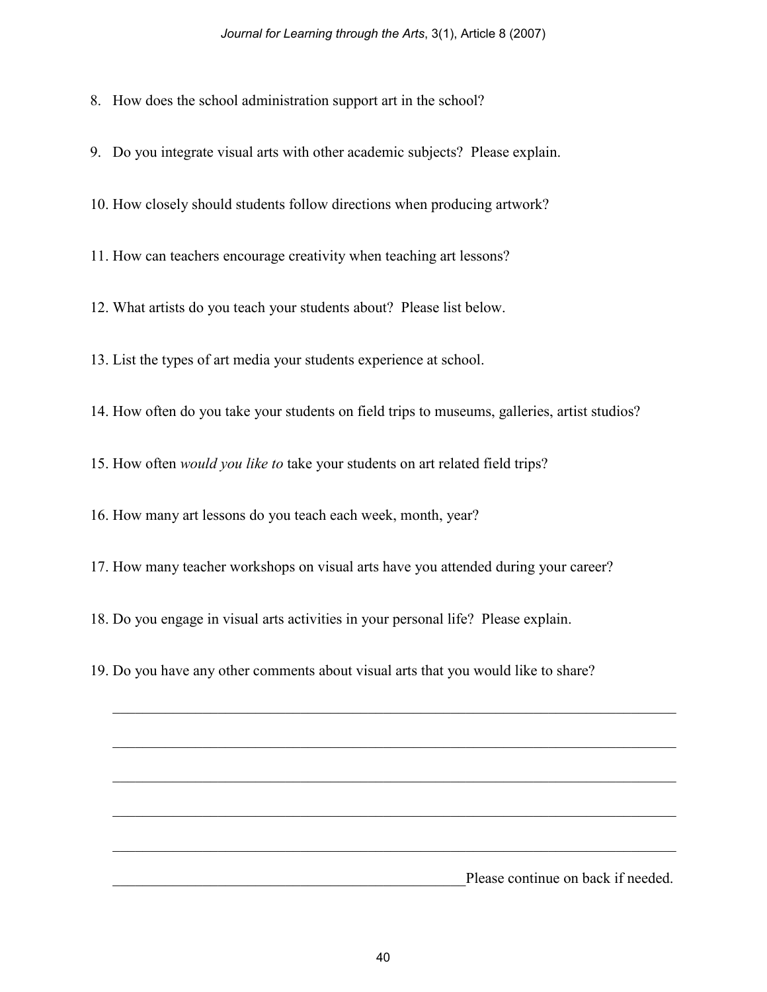8. How does the school administration support art in the school?

9. Do you integrate visual arts with other academic subjects? Please explain.

10. How closely should students follow directions when producing artwork?

11. How can teachers encourage creativity when teaching art lessons?

12. What artists do you teach your students about? Please list below.

13. List the types of art media your students experience at school.

14. How often do you take your students on field trips to museums, galleries, artist studios?

15. How often *would you like to* take your students on art related field trips?

16. How many art lessons do you teach each week, month, year?

17. How many teacher workshops on visual arts have you attended during your career?

18. Do you engage in visual arts activities in your personal life? Please explain.

19. Do you have any other comments about visual arts that you would like to share?

 $\mathcal{L}_\mathcal{L} = \mathcal{L}_\mathcal{L} = \mathcal{L}_\mathcal{L} = \mathcal{L}_\mathcal{L} = \mathcal{L}_\mathcal{L} = \mathcal{L}_\mathcal{L} = \mathcal{L}_\mathcal{L} = \mathcal{L}_\mathcal{L} = \mathcal{L}_\mathcal{L} = \mathcal{L}_\mathcal{L} = \mathcal{L}_\mathcal{L} = \mathcal{L}_\mathcal{L} = \mathcal{L}_\mathcal{L} = \mathcal{L}_\mathcal{L} = \mathcal{L}_\mathcal{L} = \mathcal{L}_\mathcal{L} = \mathcal{L}_\mathcal{L}$  $\mathcal{L}_\text{max} = \mathcal{L}_\text{max} = \mathcal{L}_\text{max} = \mathcal{L}_\text{max} = \mathcal{L}_\text{max} = \mathcal{L}_\text{max} = \mathcal{L}_\text{max} = \mathcal{L}_\text{max} = \mathcal{L}_\text{max} = \mathcal{L}_\text{max} = \mathcal{L}_\text{max} = \mathcal{L}_\text{max} = \mathcal{L}_\text{max} = \mathcal{L}_\text{max} = \mathcal{L}_\text{max} = \mathcal{L}_\text{max} = \mathcal{L}_\text{max} = \mathcal{L}_\text{max} = \mathcal{$  $\mathcal{L}_\mathcal{L} = \mathcal{L}_\mathcal{L} = \mathcal{L}_\mathcal{L} = \mathcal{L}_\mathcal{L} = \mathcal{L}_\mathcal{L} = \mathcal{L}_\mathcal{L} = \mathcal{L}_\mathcal{L} = \mathcal{L}_\mathcal{L} = \mathcal{L}_\mathcal{L} = \mathcal{L}_\mathcal{L} = \mathcal{L}_\mathcal{L} = \mathcal{L}_\mathcal{L} = \mathcal{L}_\mathcal{L} = \mathcal{L}_\mathcal{L} = \mathcal{L}_\mathcal{L} = \mathcal{L}_\mathcal{L} = \mathcal{L}_\mathcal{L}$  $\mathcal{L}_\text{max} = \mathcal{L}_\text{max} = \mathcal{L}_\text{max} = \mathcal{L}_\text{max} = \mathcal{L}_\text{max} = \mathcal{L}_\text{max} = \mathcal{L}_\text{max} = \mathcal{L}_\text{max} = \mathcal{L}_\text{max} = \mathcal{L}_\text{max} = \mathcal{L}_\text{max} = \mathcal{L}_\text{max} = \mathcal{L}_\text{max} = \mathcal{L}_\text{max} = \mathcal{L}_\text{max} = \mathcal{L}_\text{max} = \mathcal{L}_\text{max} = \mathcal{L}_\text{max} = \mathcal{$ Please continue on back if needed.

 $\mathcal{L}_\mathcal{L} = \mathcal{L}_\mathcal{L} = \mathcal{L}_\mathcal{L} = \mathcal{L}_\mathcal{L} = \mathcal{L}_\mathcal{L} = \mathcal{L}_\mathcal{L} = \mathcal{L}_\mathcal{L} = \mathcal{L}_\mathcal{L} = \mathcal{L}_\mathcal{L} = \mathcal{L}_\mathcal{L} = \mathcal{L}_\mathcal{L} = \mathcal{L}_\mathcal{L} = \mathcal{L}_\mathcal{L} = \mathcal{L}_\mathcal{L} = \mathcal{L}_\mathcal{L} = \mathcal{L}_\mathcal{L} = \mathcal{L}_\mathcal{L}$